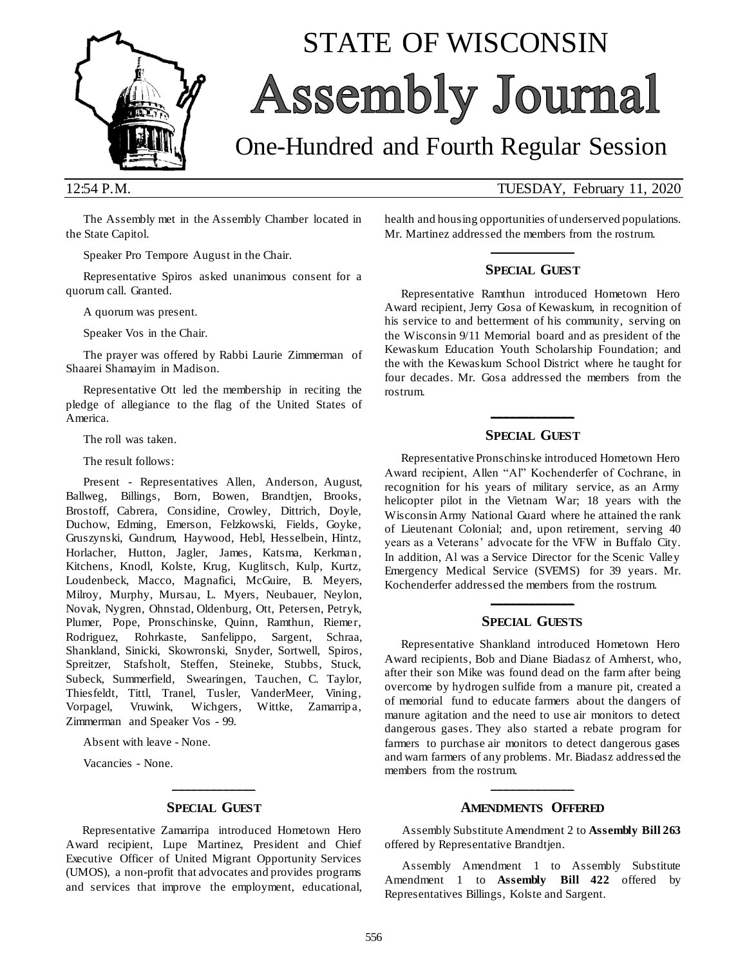

# STATE OF WISCONSIN **Assembly Journal**

## One-Hundred and Fourth Regular Session

12:54 P.M. TUESDAY, February 11, 2020

The Assembly met in the Assembly Chamber located in the State Capitol.

Speaker Pro Tempore August in the Chair.

Representative Spiros asked unanimous consent for a quorum call. Granted.

A quorum was present.

Speaker Vos in the Chair.

The prayer was offered by Rabbi Laurie Zimmerman of Shaarei Shamayim in Madison.

Representative Ott led the membership in reciting the pledge of allegiance to the flag of the United States of America.

The roll was taken.

The result follows:

Present - Representatives Allen, Anderson, August, Ballweg, Billings, Born, Bowen, Brandtjen, Brooks, Brostoff, Cabrera, Considine, Crowley, Dittrich, Doyle, Duchow, Edming, Emerson, Felzkowski, Fields, Goyke, Gruszynski, Gundrum, Haywood, Hebl, Hesselbein, Hintz, Horlacher, Hutton, Jagler, James, Katsma, Kerkman, Kitchens, Knodl, Kolste, Krug, Kuglitsch, Kulp, Kurtz, Loudenbeck, Macco, Magnafici, McGuire, B. Meyers, Milroy, Murphy, Mursau, L. Myers, Neubauer, Neylon, Novak, Nygren, Ohnstad, Oldenburg, Ott, Petersen, Petryk, Plumer, Pope, Pronschinske, Quinn, Ramthun, Riemer, Rodriguez, Rohrkaste, Sanfelippo, Sargent, Schraa, Shankland, Sinicki, Skowronski, Snyder, Sortwell, Spiros, Spreitzer, Stafsholt, Steffen, Steineke, Stubbs, Stuck, Subeck, Summerfield, Swearingen, Tauchen, C. Taylor, Thiesfeldt, Tittl, Tranel, Tusler, VanderMeer, Vining, Vorpagel, Vruwink, Wichgers, Wittke, Zamarripa, Zimmerman and Speaker Vos - 99.

Absent with leave - None.

Vacancies - None.

## **\_\_\_\_\_\_\_\_\_\_\_\_\_ SPECIAL GUEST**

Representative Zamarripa introduced Hometown Hero Award recipient, Lupe Martinez, President and Chief Executive Officer of United Migrant Opportunity Services (UMOS), a non-profit that advocates and provides programs and services that improve the employment, educational,

health and housing opportunities of underserved populations. Mr. Martinez addressed the members from the rostrum. **\_\_\_\_\_\_\_\_\_\_\_\_\_**

#### **SPECIAL GUEST**

Representative Ramthun introduced Hometown Hero Award recipient, Jerry Gosa of Kewaskum, in recognition of his service to and betterment of his community, serving on the Wisconsin 9/11 Memorial board and as president of the Kewaskum Education Youth Scholarship Foundation; and the with the Kewaskum School District where he taught for four decades. Mr. Gosa addressed the members from the rostrum.

## **\_\_\_\_\_\_\_\_\_\_\_\_\_ SPECIAL GUEST**

Representative Pronschinske introduced Hometown Hero Award recipient, Allen "Al" Kochenderfer of Cochrane, in recognition for his years of military service, as an Army helicopter pilot in the Vietnam War; 18 years with the Wisconsin Army National Guard where he attained the rank of Lieutenant Colonial; and, upon retirement, serving 40 years as a Veterans' advocate for the VFW in Buffalo City. In addition, Al was a Service Director for the Scenic Valley Emergency Medical Service (SVEMS) for 39 years. Mr. Kochenderfer addressed the members from the rostrum.

## **\_\_\_\_\_\_\_\_\_\_\_\_\_ SPECIAL GUESTS**

Representative Shankland introduced Hometown Hero Award recipients, Bob and Diane Biadasz of Amherst, who, after their son Mike was found dead on the farm after being overcome by hydrogen sulfide from a manure pit, created a of memorial fund to educate farmers about the dangers of manure agitation and the need to use air monitors to detect dangerous gases. They also started a rebate program for farmers to purchase air monitors to detect dangerous gases and warn farmers of any problems. Mr. Biadasz addressed the members from the rostrum.

## **\_\_\_\_\_\_\_\_\_\_\_\_\_ AMENDMENTS OFFERED**

Assembly Substitute Amendment 2 to **Assembly Bill 263** offered by Representative Brandtjen.

Assembly Amendment 1 to Assembly Substitute Amendment 1 to **Assembly Bill 422** offered by Representatives Billings, Kolste and Sargent.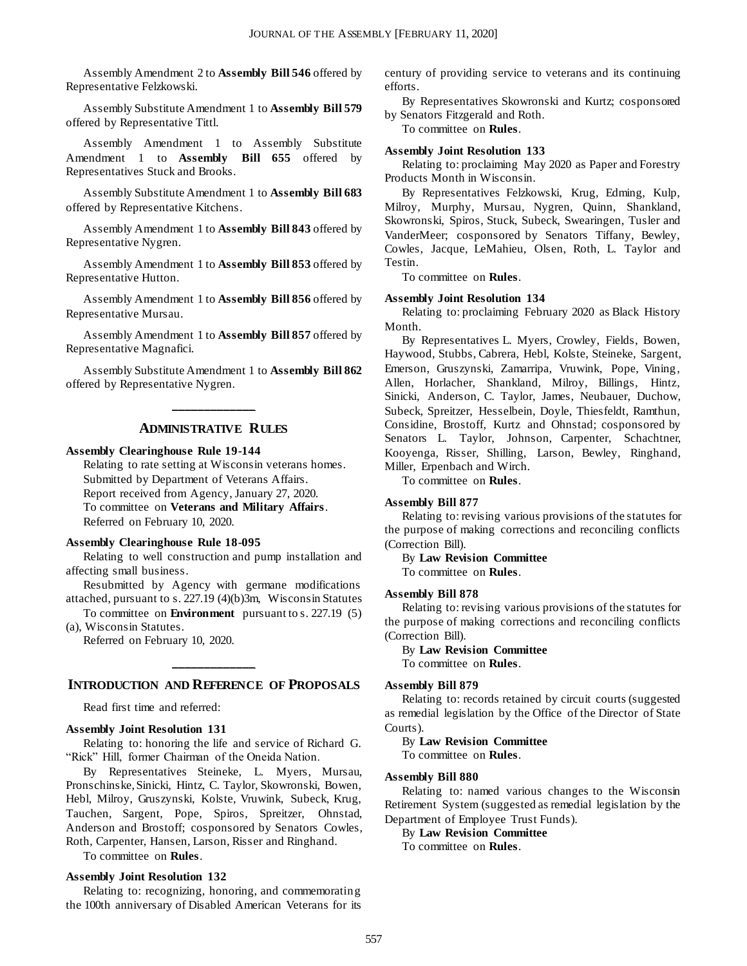Assembly Amendment 2 to **Assembly Bill 546** offered by Representative Felzkowski.

Assembly Substitute Amendment 1 to **Assembly Bill 579** offered by Representative Tittl.

Assembly Amendment 1 to Assembly Substitute Amendment 1 to **Assembly Bill 655** offered by Representatives Stuck and Brooks.

Assembly Substitute Amendment 1 to **Assembly Bill 683** offered by Representative Kitchens.

Assembly Amendment 1 to **Assembly Bill 843** offered by Representative Nygren.

Assembly Amendment 1 to **Assembly Bill 853** offered by Representative Hutton.

Assembly Amendment 1 to **Assembly Bill 856** offered by Representative Mursau.

Assembly Amendment 1 to **Assembly Bill 857** offered by Representative Magnafici.

Assembly Substitute Amendment 1 to **Assembly Bill 862** offered by Representative Nygren.

## **\_\_\_\_\_\_\_\_\_\_\_\_\_ ADMINISTRATIVE RULES**

#### **Assembly Clearinghouse Rule 19-144**

Relating to rate setting at Wisconsin veterans homes. Submitted by Department of Veterans Affairs. Report received from Agency, January 27, 2020. To committee on **Veterans and Military Affairs**. Referred on February 10, 2020.

#### **Assembly Clearinghouse Rule 18-095**

Relating to well construction and pump installation and affecting small business.

Resubmitted by Agency with germane modifications attached, pursuant to s. 227.19 (4)(b)3m, Wisconsin Statutes

To committee on **Environment** pursuant to s. 227.19 (5) (a), Wisconsin Statutes.

Referred on February 10, 2020.

## **\_\_\_\_\_\_\_\_\_\_\_\_\_ INTRODUCTION AND REFERENCE OF PROPOSALS**

Read first time and referred:

#### **Assembly Joint Resolution 131**

Relating to: honoring the life and service of Richard G. "Rick" Hill, former Chairman of the Oneida Nation.

By Representatives Steineke, L. Myers, Mursau, Pronschinske, Sinicki, Hintz, C. Taylor, Skowronski, Bowen, Hebl, Milroy, Gruszynski, Kolste, Vruwink, Subeck, Krug, Tauchen, Sargent, Pope, Spiros, Spreitzer, Ohnstad, Anderson and Brostoff; cosponsored by Senators Cowles, Roth, Carpenter, Hansen, Larson, Risser and Ringhand.

To committee on **Rules**.

#### **Assembly Joint Resolution 132**

Relating to: recognizing, honoring, and commemorating the 100th anniversary of Disabled American Veterans for its century of providing service to veterans and its continuing efforts.

By Representatives Skowronski and Kurtz; cosponsored by Senators Fitzgerald and Roth.

To committee on **Rules**.

#### **Assembly Joint Resolution 133**

Relating to: proclaiming May 2020 as Paper and Forestry Products Month in Wisconsin.

By Representatives Felzkowski, Krug, Edming, Kulp, Milroy, Murphy, Mursau, Nygren, Quinn, Shankland, Skowronski, Spiros, Stuck, Subeck, Swearingen, Tusler and VanderMeer; cosponsored by Senators Tiffany, Bewley, Cowles, Jacque, LeMahieu, Olsen, Roth, L. Taylor and Testin.

To committee on **Rules**.

#### **Assembly Joint Resolution 134**

Relating to: proclaiming February 2020 as Black History Month.

By Representatives L. Myers, Crowley, Fields, Bowen, Haywood, Stubbs, Cabrera, Hebl, Kolste, Steineke, Sargent, Emerson, Gruszynski, Zamarripa, Vruwink, Pope, Vining, Allen, Horlacher, Shankland, Milroy, Billings, Hintz, Sinicki, Anderson, C. Taylor, James, Neubauer, Duchow, Subeck, Spreitzer, Hesselbein, Doyle, Thiesfeldt, Ramthun, Considine, Brostoff, Kurtz and Ohnstad; cosponsored by Senators L. Taylor, Johnson, Carpenter, Schachtner, Kooyenga, Risser, Shilling, Larson, Bewley, Ringhand, Miller, Erpenbach and Wirch.

To committee on **Rules**.

#### **Assembly Bill 877**

Relating to: revising various provisions of the statutes for the purpose of making corrections and reconciling conflicts (Correction Bill).

By **Law Revision Committee** To committee on **Rules**.

#### **Assembly Bill 878**

Relating to: revising various provisions of the statutes for the purpose of making corrections and reconciling conflicts (Correction Bill).

By **Law Revision Committee** To committee on **Rules**.

#### **Assembly Bill 879**

Relating to: records retained by circuit courts (suggested as remedial legislation by the Office of the Director of State Courts).

By **Law Revision Committee**

To committee on **Rules**.

#### **Assembly Bill 880**

Relating to: named various changes to the Wisconsin Retirement System (suggested as remedial legislation by the Department of Employee Trust Funds).

By **Law Revision Committee** To committee on **Rules**.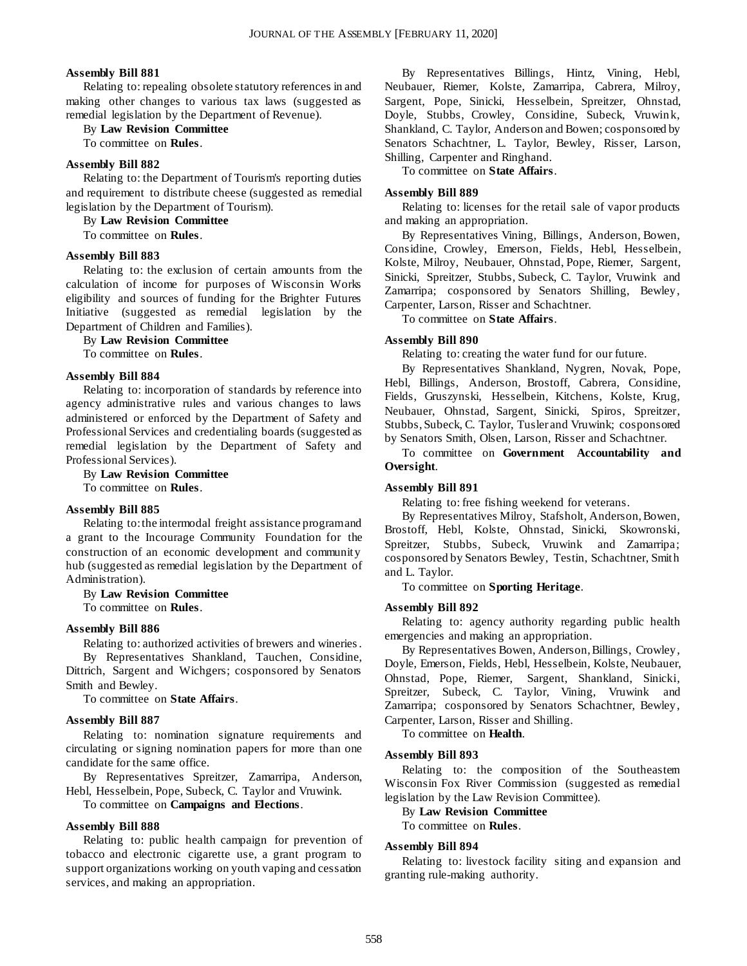#### **Assembly Bill 881**

Relating to: repealing obsolete statutory references in and making other changes to various tax laws (suggested as remedial legislation by the Department of Revenue).

#### By **Law Revision Committee**

To committee on **Rules**.

#### **Assembly Bill 882**

Relating to: the Department of Tourism's reporting duties and requirement to distribute cheese (suggested as remedial legislation by the Department of Tourism).

By **Law Revision Committee**

To committee on **Rules**.

#### **Assembly Bill 883**

Relating to: the exclusion of certain amounts from the calculation of income for purposes of Wisconsin Works eligibility and sources of funding for the Brighter Futures Initiative (suggested as remedial legislation by the Department of Children and Families).

#### By **Law Revision Committee**

To committee on **Rules**.

#### **Assembly Bill 884**

Relating to: incorporation of standards by reference into agency administrative rules and various changes to laws administered or enforced by the Department of Safety and Professional Services and credentialing boards (suggested as remedial legislation by the Department of Safety and Professional Services).

By **Law Revision Committee** To committee on **Rules**.

#### **Assembly Bill 885**

Relating to: the intermodal freight assistance program and a grant to the Incourage Community Foundation for the construction of an economic development and community hub (suggested as remedial legislation by the Department of Administration).

#### By **Law Revision Committee**

To committee on **Rules**.

#### **Assembly Bill 886**

Relating to: authorized activities of brewers and wineries . By Representatives Shankland, Tauchen, Considine, Dittrich, Sargent and Wichgers; cosponsored by Senators Smith and Bewley.

To committee on **State Affairs**.

#### **Assembly Bill 887**

Relating to: nomination signature requirements and circulating or signing nomination papers for more than one candidate for the same office.

By Representatives Spreitzer, Zamarripa, Anderson, Hebl, Hesselbein, Pope, Subeck, C. Taylor and Vruwink.

To committee on **Campaigns and Elections**.

#### **Assembly Bill 888**

Relating to: public health campaign for prevention of tobacco and electronic cigarette use, a grant program to support organizations working on youth vaping and cessation services, and making an appropriation.

By Representatives Billings, Hintz, Vining, Hebl, Neubauer, Riemer, Kolste, Zamarripa, Cabrera, Milroy, Sargent, Pope, Sinicki, Hesselbein, Spreitzer, Ohnstad, Doyle, Stubbs, Crowley, Considine, Subeck, Vruwink, Shankland, C. Taylor, Anderson and Bowen; cosponsored by Senators Schachtner, L. Taylor, Bewley, Risser, Larson, Shilling, Carpenter and Ringhand.

To committee on **State Affairs**.

#### **Assembly Bill 889**

Relating to: licenses for the retail sale of vapor products and making an appropriation.

By Representatives Vining, Billings, Anderson, Bowen, Considine, Crowley, Emerson, Fields, Hebl, Hesselbein, Kolste, Milroy, Neubauer, Ohnstad, Pope, Riemer, Sargent, Sinicki, Spreitzer, Stubbs, Subeck, C. Taylor, Vruwink and Zamarripa; cosponsored by Senators Shilling, Bewley, Carpenter, Larson, Risser and Schachtner.

To committee on **State Affairs**.

#### **Assembly Bill 890**

Relating to: creating the water fund for our future.

By Representatives Shankland, Nygren, Novak, Pope, Hebl, Billings, Anderson, Brostoff, Cabrera, Considine, Fields, Gruszynski, Hesselbein, Kitchens, Kolste, Krug, Neubauer, Ohnstad, Sargent, Sinicki, Spiros, Spreitzer, Stubbs, Subeck, C. Taylor, Tusler and Vruwink; cosponsored by Senators Smith, Olsen, Larson, Risser and Schachtner.

To committee on **Government Accountability and Oversight**.

#### **Assembly Bill 891**

Relating to: free fishing weekend for veterans.

By Representatives Milroy, Stafsholt, Anderson, Bowen, Brostoff, Hebl, Kolste, Ohnstad, Sinicki, Skowronski, Spreitzer, Stubbs, Subeck, Vruwink and Zamarripa; cosponsored by Senators Bewley, Testin, Schachtner, Smith and L. Taylor.

To committee on **Sporting Heritage**.

#### **Assembly Bill 892**

Relating to: agency authority regarding public health emergencies and making an appropriation.

By Representatives Bowen, Anderson, Billings, Crowley, Doyle, Emerson, Fields, Hebl, Hesselbein, Kolste, Neubauer, Ohnstad, Pope, Riemer, Sargent, Shankland, Sinicki, Spreitzer, Subeck, C. Taylor, Vining, Vruwink and Zamarripa; cosponsored by Senators Schachtner, Bewley, Carpenter, Larson, Risser and Shilling.

To committee on **Health**.

#### **Assembly Bill 893**

Relating to: the composition of the Southeastem Wisconsin Fox River Commission (suggested as remedial legislation by the Law Revision Committee).

By **Law Revision Committee** To committee on **Rules**.

#### **Assembly Bill 894**

Relating to: livestock facility siting and expansion and granting rule-making authority.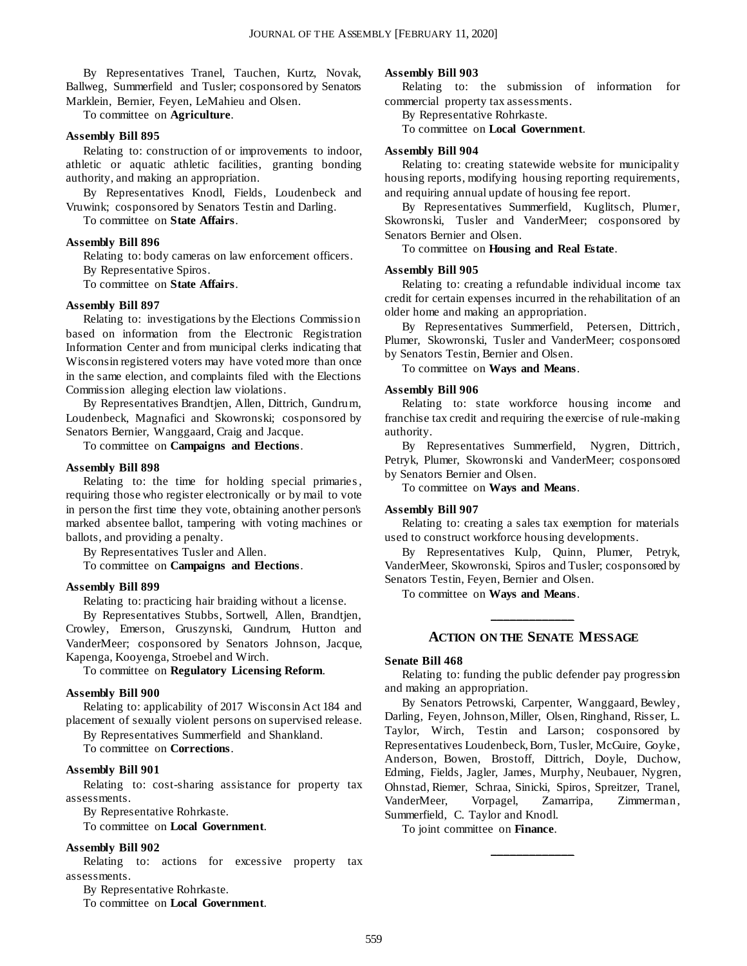By Representatives Tranel, Tauchen, Kurtz, Novak, Ballweg, Summerfield and Tusler; cosponsored by Senators Marklein, Bernier, Feyen, LeMahieu and Olsen.

To committee on **Agriculture**.

#### **Assembly Bill 895**

Relating to: construction of or improvements to indoor, athletic or aquatic athletic facilities, granting bonding authority, and making an appropriation.

By Representatives Knodl, Fields, Loudenbeck and Vruwink; cosponsored by Senators Testin and Darling.

To committee on **State Affairs**.

### **Assembly Bill 896**

Relating to: body cameras on law enforcement officers. By Representative Spiros.

To committee on **State Affairs**.

#### **Assembly Bill 897**

Relating to: investigations by the Elections Commission based on information from the Electronic Registration Information Center and from municipal clerks indicating that Wisconsin registered voters may have voted more than once in the same election, and complaints filed with the Elections Commission alleging election law violations.

By Representatives Brandtjen, Allen, Dittrich, Gundrum, Loudenbeck, Magnafici and Skowronski; cosponsored by Senators Bernier, Wanggaard, Craig and Jacque.

To committee on **Campaigns and Elections**.

#### **Assembly Bill 898**

Relating to: the time for holding special primaries , requiring those who register electronically or by mail to vote in person the first time they vote, obtaining another person's marked absentee ballot, tampering with voting machines or ballots, and providing a penalty.

By Representatives Tusler and Allen.

To committee on **Campaigns and Elections**.

#### **Assembly Bill 899**

Relating to: practicing hair braiding without a license.

By Representatives Stubbs, Sortwell, Allen, Brandtjen, Crowley, Emerson, Gruszynski, Gundrum, Hutton and VanderMeer; cosponsored by Senators Johnson, Jacque, Kapenga, Kooyenga, Stroebel and Wirch.

To committee on **Regulatory Licensing Reform**.

#### **Assembly Bill 900**

Relating to: applicability of 2017 Wisconsin Act 184 and placement of sexually violent persons on supervised release.

By Representatives Summerfield and Shankland.

To committee on **Corrections**.

#### **Assembly Bill 901**

Relating to: cost-sharing assistance for property tax assessments.

By Representative Rohrkaste.

To committee on **Local Government**.

#### **Assembly Bill 902**

Relating to: actions for excessive property tax assessments.

By Representative Rohrkaste.

To committee on **Local Government**.

#### **Assembly Bill 903**

Relating to: the submission of information for commercial property tax assessments.

By Representative Rohrkaste.

To committee on **Local Government**.

#### **Assembly Bill 904**

Relating to: creating statewide website for municipality housing reports, modifying housing reporting requirements, and requiring annual update of housing fee report.

By Representatives Summerfield, Kuglitsch, Plumer, Skowronski, Tusler and VanderMeer; cosponsored by Senators Bernier and Olsen.

To committee on **Housing and Real Estate**.

#### **Assembly Bill 905**

Relating to: creating a refundable individual income tax credit for certain expenses incurred in the rehabilitation of an older home and making an appropriation.

By Representatives Summerfield, Petersen, Dittrich, Plumer, Skowronski, Tusler and VanderMeer; cosponsored by Senators Testin, Bernier and Olsen.

To committee on **Ways and Means**.

#### **Assembly Bill 906**

Relating to: state workforce housing income and franchise tax credit and requiring the exercise of rule-making authority.

By Representatives Summerfield, Nygren, Dittrich, Petryk, Plumer, Skowronski and VanderMeer; cosponsored by Senators Bernier and Olsen.

To committee on **Ways and Means**.

#### **Assembly Bill 907**

Relating to: creating a sales tax exemption for materials used to construct workforce housing developments.

By Representatives Kulp, Quinn, Plumer, Petryk, VanderMeer, Skowronski, Spiros and Tusler; cosponsored by Senators Testin, Feyen, Bernier and Olsen.

To committee on **Ways and Means**.

## **\_\_\_\_\_\_\_\_\_\_\_\_\_ ACTION ON THE SENATE MESSAGE**

#### **Senate Bill 468**

Relating to: funding the public defender pay progression and making an appropriation.

By Senators Petrowski, Carpenter, Wanggaard, Bewley, Darling, Feyen, Johnson, Miller, Olsen, Ringhand, Risser, L. Taylor, Wirch, Testin and Larson; cosponsored by Representatives Loudenbeck, Born, Tusler, McGuire, Goyke, Anderson, Bowen, Brostoff, Dittrich, Doyle, Duchow, Edming, Fields, Jagler, James, Murphy, Neubauer, Nygren, Ohnstad, Riemer, Schraa, Sinicki, Spiros, Spreitzer, Tranel, VanderMeer, Vorpagel, Zamarripa, Zimmerman, Summerfield, C. Taylor and Knodl.

**\_\_\_\_\_\_\_\_\_\_\_\_\_**

To joint committee on **Finance**.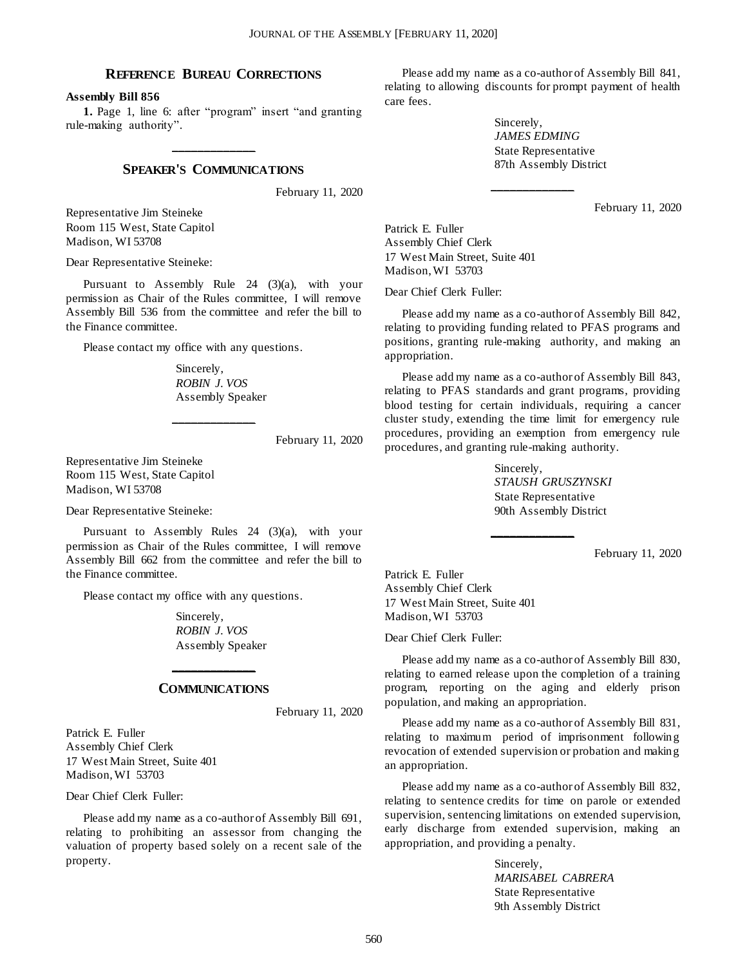### **REFERENCE BUREAU CORRECTIONS**

**Assembly Bill 856**

**1.** Page 1, line 6: after "program" insert "and granting rule-making authority".

## **\_\_\_\_\_\_\_\_\_\_\_\_\_ SPEAKER'S COMMUNICATIONS**

February 11, 2020

Representative Jim Steineke Room 115 West, State Capitol Madison, WI 53708

Dear Representative Steineke:

Pursuant to Assembly Rule 24 (3)(a), with your permission as Chair of the Rules committee, I will remove Assembly Bill 536 from the committee and refer the bill to the Finance committee.

Please contact my office with any questions.

Sincerely, *ROBIN J. VOS* Assembly Speaker

**\_\_\_\_\_\_\_\_\_\_\_\_\_**

February 11, 2020

Representative Jim Steineke Room 115 West, State Capitol Madison, WI 53708

Dear Representative Steineke:

Pursuant to Assembly Rules 24 (3)(a), with your permission as Chair of the Rules committee, I will remove Assembly Bill 662 from the committee and refer the bill to the Finance committee.

Please contact my office with any questions.

Sincerely, *ROBIN J. VOS* Assembly Speaker

## **\_\_\_\_\_\_\_\_\_\_\_\_\_ COMMUNICATIONS**

February 11, 2020

Patrick E. Fuller Assembly Chief Clerk 17 West Main Street, Suite 401 Madison, WI 53703

Dear Chief Clerk Fuller:

Please add my name as a co-author of Assembly Bill 691, relating to prohibiting an assessor from changing the valuation of property based solely on a recent sale of the property.

Please add my name as a co-author of Assembly Bill 841, relating to allowing discounts for prompt payment of health care fees.

**\_\_\_\_\_\_\_\_\_\_\_\_\_**

Sincerely, *JAMES EDMING* State Representative 87th Assembly District

February 11, 2020

Patrick E. Fuller Assembly Chief Clerk 17 West Main Street, Suite 401 Madison, WI 53703

Dear Chief Clerk Fuller:

Please add my name as a co-author of Assembly Bill 842, relating to providing funding related to PFAS programs and positions, granting rule-making authority, and making an appropriation.

Please add my name as a co-author of Assembly Bill 843, relating to PFAS standards and grant programs, providing blood testing for certain individuals, requiring a cancer cluster study, extending the time limit for emergency rule procedures, providing an exemption from emergency rule procedures, and granting rule-making authority.

**\_\_\_\_\_\_\_\_\_\_\_\_\_**

Sincerely, *STAUSH GRUSZYNSKI* State Representative 90th Assembly District

February 11, 2020

Patrick E. Fuller Assembly Chief Clerk 17 West Main Street, Suite 401 Madison, WI 53703

Dear Chief Clerk Fuller:

Please add my name as a co-author of Assembly Bill 830, relating to earned release upon the completion of a training program, reporting on the aging and elderly prison population, and making an appropriation.

Please add my name as a co-author of Assembly Bill 831, relating to maximum period of imprisonment following revocation of extended supervision or probation and making an appropriation.

Please add my name as a co-author of Assembly Bill 832, relating to sentence credits for time on parole or extended supervision, sentencing limitations on extended supervision, early discharge from extended supervision, making an appropriation, and providing a penalty.

> Sincerely, *MARISABEL CABRERA* State Representative 9th Assembly District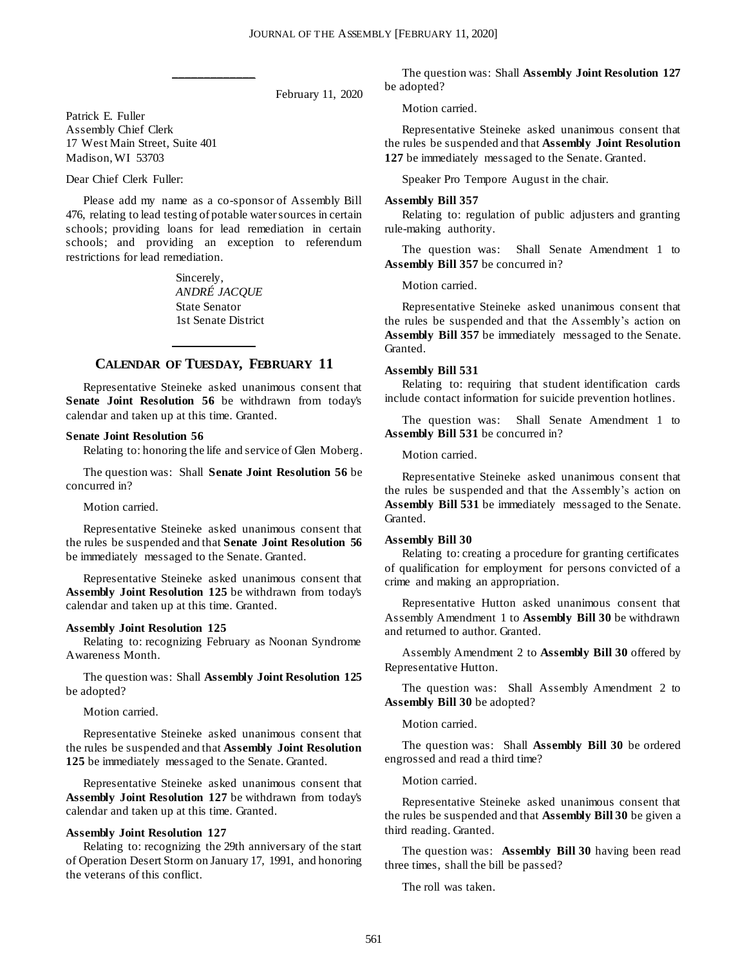February 11, 2020

Patrick E. Fuller Assembly Chief Clerk 17 West Main Street, Suite 401 Madison, WI 53703

Dear Chief Clerk Fuller:

Please add my name as a co-sponsor of Assembly Bill 476, relating to lead testing of potable water sources in certain schools; providing loans for lead remediation in certain schools; and providing an exception to referendum restrictions for lead remediation.

**\_\_\_\_\_\_\_\_\_\_\_\_\_**

Sincerely, *ANDRÉ JACQUE* State Senator 1st Senate District

## **\_\_\_\_\_\_\_\_\_\_\_\_\_ CALENDAR OF TUESDAY, FEBRUARY 11**

Representative Steineke asked unanimous consent that **Senate Joint Resolution 56** be withdrawn from today's calendar and taken up at this time. Granted.

#### **Senate Joint Resolution 56**

Relating to: honoring the life and service of Glen Moberg.

The question was: Shall **Senate Joint Resolution 56** be concurred in?

Motion carried.

Representative Steineke asked unanimous consent that the rules be suspended and that **Senate Joint Resolution 56** be immediately messaged to the Senate. Granted.

Representative Steineke asked unanimous consent that **Assembly Joint Resolution 125** be withdrawn from today's calendar and taken up at this time. Granted.

#### **Assembly Joint Resolution 125**

Relating to: recognizing February as Noonan Syndrome Awareness Month.

The question was: Shall **Assembly Joint Resolution 125** be adopted?

Motion carried.

Representative Steineke asked unanimous consent that the rules be suspended and that **Assembly Joint Resolution 125** be immediately messaged to the Senate. Granted.

Representative Steineke asked unanimous consent that **Assembly Joint Resolution 127** be withdrawn from today's calendar and taken up at this time. Granted.

#### **Assembly Joint Resolution 127**

Relating to: recognizing the 29th anniversary of the start of Operation Desert Storm on January 17, 1991, and honoring the veterans of this conflict.

The question was: Shall **Assembly Joint Resolution 127** be adopted?

Motion carried.

Representative Steineke asked unanimous consent that the rules be suspended and that **Assembly Joint Resolution 127** be immediately messaged to the Senate. Granted.

Speaker Pro Tempore August in the chair.

#### **Assembly Bill 357**

Relating to: regulation of public adjusters and granting rule-making authority.

The question was: Shall Senate Amendment 1 to **Assembly Bill 357** be concurred in?

Motion carried.

Representative Steineke asked unanimous consent that the rules be suspended and that the Assembly's action on **Assembly Bill 357** be immediately messaged to the Senate. Granted.

#### **Assembly Bill 531**

Relating to: requiring that student identification cards include contact information for suicide prevention hotlines.

The question was: Shall Senate Amendment 1 to **Assembly Bill 531** be concurred in?

Motion carried.

Representative Steineke asked unanimous consent that the rules be suspended and that the Assembly's action on **Assembly Bill 531** be immediately messaged to the Senate. Granted.

#### **Assembly Bill 30**

Relating to: creating a procedure for granting certificates of qualification for employment for persons convicted of a crime and making an appropriation.

Representative Hutton asked unanimous consent that Assembly Amendment 1 to **Assembly Bill 30** be withdrawn and returned to author. Granted.

Assembly Amendment 2 to **Assembly Bill 30** offered by Representative Hutton.

The question was: Shall Assembly Amendment 2 to **Assembly Bill 30** be adopted?

#### Motion carried.

The question was: Shall **Assembly Bill 30** be ordered engrossed and read a third time?

#### Motion carried.

Representative Steineke asked unanimous consent that the rules be suspended and that **Assembly Bill 30** be given a third reading. Granted.

The question was: **Assembly Bill 30** having been read three times, shall the bill be passed?

The roll was taken.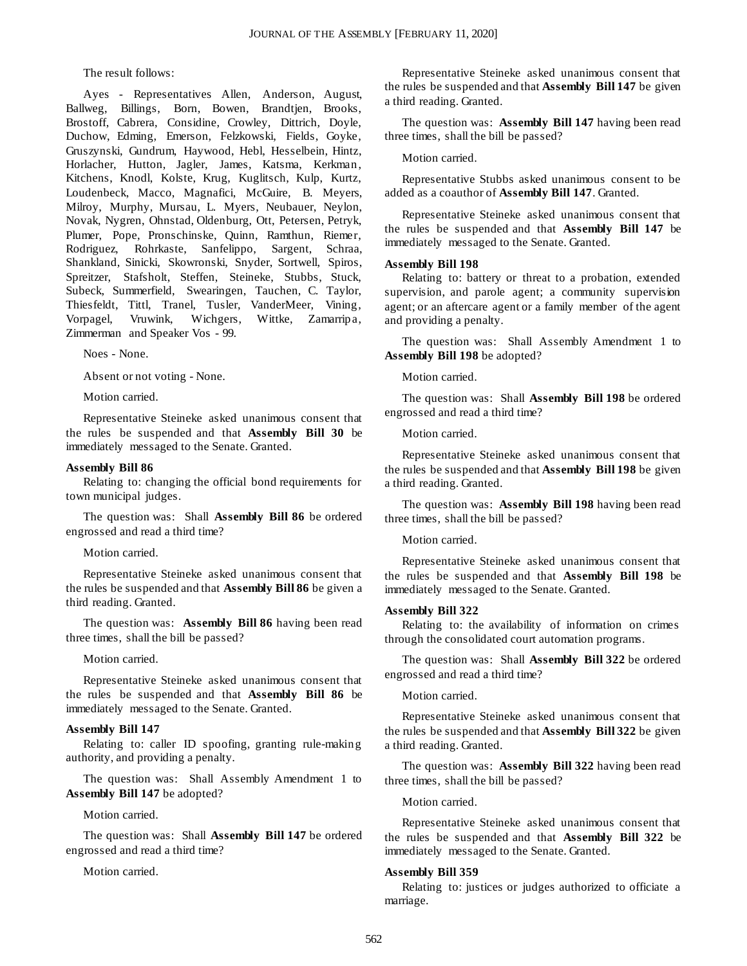The result follows:

Ayes - Representatives Allen, Anderson, August, Ballweg, Billings, Born, Bowen, Brandtjen, Brooks, Brostoff, Cabrera, Considine, Crowley, Dittrich, Doyle, Duchow, Edming, Emerson, Felzkowski, Fields, Goyke, Gruszynski, Gundrum, Haywood, Hebl, Hesselbein, Hintz, Horlacher, Hutton, Jagler, James, Katsma, Kerkman, Kitchens, Knodl, Kolste, Krug, Kuglitsch, Kulp, Kurtz, Loudenbeck, Macco, Magnafici, McGuire, B. Meyers, Milroy, Murphy, Mursau, L. Myers, Neubauer, Neylon, Novak, Nygren, Ohnstad, Oldenburg, Ott, Petersen, Petryk, Plumer, Pope, Pronschinske, Quinn, Ramthun, Riemer, Rodriguez, Rohrkaste, Sanfelippo, Sargent, Schraa, Shankland, Sinicki, Skowronski, Snyder, Sortwell, Spiros, Spreitzer, Stafsholt, Steffen, Steineke, Stubbs, Stuck, Subeck, Summerfield, Swearingen, Tauchen, C. Taylor, Thiesfeldt, Tittl, Tranel, Tusler, VanderMeer, Vining, Vorpagel, Vruwink, Wichgers, Wittke, Zamarripa, Zimmerman and Speaker Vos - 99.

Noes - None.

Absent or not voting - None.

Motion carried.

Representative Steineke asked unanimous consent that the rules be suspended and that **Assembly Bill 30** be immediately messaged to the Senate. Granted.

#### **Assembly Bill 86**

Relating to: changing the official bond requirements for town municipal judges.

The question was: Shall **Assembly Bill 86** be ordered engrossed and read a third time?

Motion carried.

Representative Steineke asked unanimous consent that the rules be suspended and that **Assembly Bill 86** be given a third reading. Granted.

The question was: **Assembly Bill 86** having been read three times, shall the bill be passed?

#### Motion carried.

Representative Steineke asked unanimous consent that the rules be suspended and that **Assembly Bill 86** be immediately messaged to the Senate. Granted.

#### **Assembly Bill 147**

Relating to: caller ID spoofing, granting rule-making authority, and providing a penalty.

The question was: Shall Assembly Amendment 1 to **Assembly Bill 147** be adopted?

#### Motion carried.

The question was: Shall **Assembly Bill 147** be ordered engrossed and read a third time?

Motion carried.

Representative Steineke asked unanimous consent that the rules be suspended and that **Assembly Bill 147** be given a third reading. Granted.

The question was: **Assembly Bill 147** having been read three times, shall the bill be passed?

#### Motion carried.

Representative Stubbs asked unanimous consent to be added as a coauthor of **Assembly Bill 147**. Granted.

Representative Steineke asked unanimous consent that the rules be suspended and that **Assembly Bill 147** be immediately messaged to the Senate. Granted.

#### **Assembly Bill 198**

Relating to: battery or threat to a probation, extended supervision, and parole agent; a community supervision agent; or an aftercare agent or a family member of the agent and providing a penalty.

The question was: Shall Assembly Amendment 1 to **Assembly Bill 198** be adopted?

#### Motion carried.

The question was: Shall **Assembly Bill 198** be ordered engrossed and read a third time?

Motion carried.

Representative Steineke asked unanimous consent that the rules be suspended and that **Assembly Bill 198** be given a third reading. Granted.

The question was: **Assembly Bill 198** having been read three times, shall the bill be passed?

#### Motion carried.

Representative Steineke asked unanimous consent that the rules be suspended and that **Assembly Bill 198** be immediately messaged to the Senate. Granted.

#### **Assembly Bill 322**

Relating to: the availability of information on crimes through the consolidated court automation programs.

The question was: Shall **Assembly Bill 322** be ordered engrossed and read a third time?

#### Motion carried.

Representative Steineke asked unanimous consent that the rules be suspended and that **Assembly Bill 322** be given a third reading. Granted.

The question was: **Assembly Bill 322** having been read three times, shall the bill be passed?

Motion carried.

Representative Steineke asked unanimous consent that the rules be suspended and that **Assembly Bill 322** be immediately messaged to the Senate. Granted.

#### **Assembly Bill 359**

Relating to: justices or judges authorized to officiate a marriage.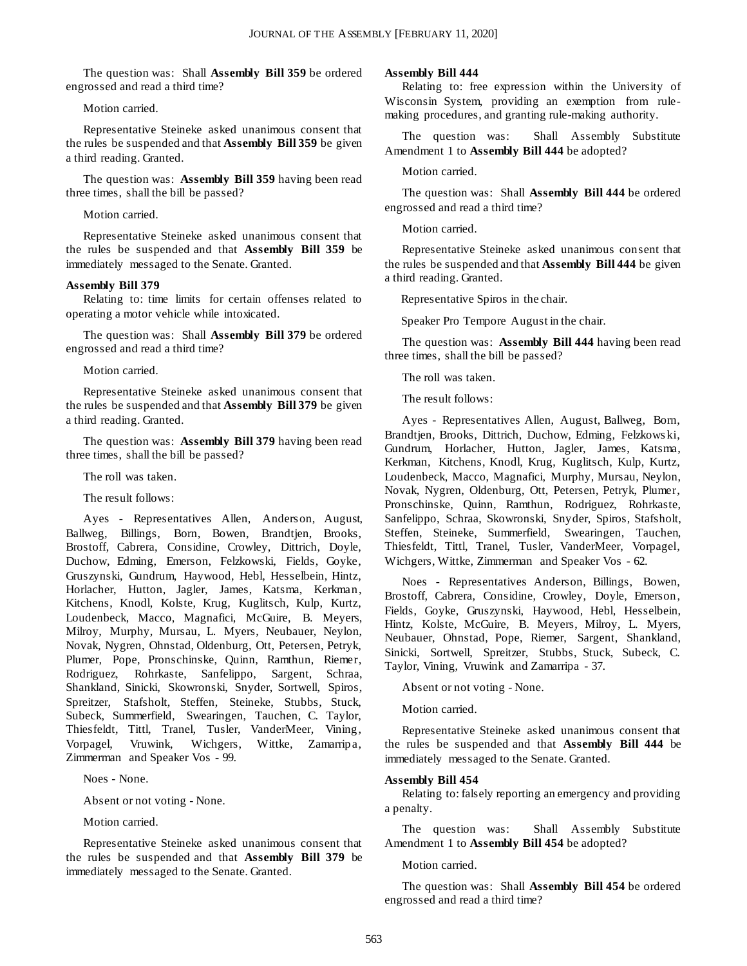The question was: Shall **Assembly Bill 359** be ordered engrossed and read a third time?

Motion carried.

Representative Steineke asked unanimous consent that the rules be suspended and that **Assembly Bill 359** be given a third reading. Granted.

The question was: **Assembly Bill 359** having been read three times, shall the bill be passed?

Motion carried.

Representative Steineke asked unanimous consent that the rules be suspended and that **Assembly Bill 359** be immediately messaged to the Senate. Granted.

#### **Assembly Bill 379**

Relating to: time limits for certain offenses related to operating a motor vehicle while intoxicated.

The question was: Shall **Assembly Bill 379** be ordered engrossed and read a third time?

Motion carried.

Representative Steineke asked unanimous consent that the rules be suspended and that **Assembly Bill 379** be given a third reading. Granted.

The question was: **Assembly Bill 379** having been read three times, shall the bill be passed?

The roll was taken.

The result follows:

Ayes - Representatives Allen, Anderson, August, Ballweg, Billings, Born, Bowen, Brandtjen, Brooks, Brostoff, Cabrera, Considine, Crowley, Dittrich, Doyle, Duchow, Edming, Emerson, Felzkowski, Fields, Goyke, Gruszynski, Gundrum, Haywood, Hebl, Hesselbein, Hintz, Horlacher, Hutton, Jagler, James, Katsma, Kerkman, Kitchens, Knodl, Kolste, Krug, Kuglitsch, Kulp, Kurtz, Loudenbeck, Macco, Magnafici, McGuire, B. Meyers, Milroy, Murphy, Mursau, L. Myers, Neubauer, Neylon, Novak, Nygren, Ohnstad, Oldenburg, Ott, Petersen, Petryk, Plumer, Pope, Pronschinske, Quinn, Ramthun, Riemer, Rodriguez, Rohrkaste, Sanfelippo, Sargent, Schraa, Shankland, Sinicki, Skowronski, Snyder, Sortwell, Spiros, Spreitzer, Stafsholt, Steffen, Steineke, Stubbs, Stuck, Subeck, Summerfield, Swearingen, Tauchen, C. Taylor, Thiesfeldt, Tittl, Tranel, Tusler, VanderMeer, Vining, Vorpagel, Vruwink, Wichgers, Wittke, Zamarripa, Zimmerman and Speaker Vos - 99.

Noes - None.

Absent or not voting - None.

Motion carried.

Representative Steineke asked unanimous consent that the rules be suspended and that **Assembly Bill 379** be immediately messaged to the Senate. Granted.

#### **Assembly Bill 444**

Relating to: free expression within the University of Wisconsin System, providing an exemption from rulemaking procedures, and granting rule-making authority.

The question was: Shall Assembly Substitute Amendment 1 to **Assembly Bill 444** be adopted?

Motion carried.

The question was: Shall **Assembly Bill 444** be ordered engrossed and read a third time?

Motion carried.

Representative Steineke asked unanimous consent that the rules be suspended and that **Assembly Bill 444** be given a third reading. Granted.

Representative Spiros in the chair.

Speaker Pro Tempore August in the chair.

The question was: **Assembly Bill 444** having been read three times, shall the bill be passed?

The roll was taken.

The result follows:

Ayes - Representatives Allen, August, Ballweg, Born, Brandtjen, Brooks, Dittrich, Duchow, Edming, Felzkows ki, Gundrum, Horlacher, Hutton, Jagler, James, Katsma, Kerkman, Kitchens, Knodl, Krug, Kuglitsch, Kulp, Kurtz, Loudenbeck, Macco, Magnafici, Murphy, Mursau, Neylon, Novak, Nygren, Oldenburg, Ott, Petersen, Petryk, Plumer, Pronschinske, Quinn, Ramthun, Rodriguez, Rohrkaste, Sanfelippo, Schraa, Skowronski, Snyder, Spiros, Stafsholt, Steffen, Steineke, Summerfield, Swearingen, Tauchen, Thiesfeldt, Tittl, Tranel, Tusler, VanderMeer, Vorpagel, Wichgers, Wittke, Zimmerman and Speaker Vos - 62.

Noes - Representatives Anderson, Billings, Bowen, Brostoff, Cabrera, Considine, Crowley, Doyle, Emerson, Fields, Goyke, Gruszynski, Haywood, Hebl, Hesselbein, Hintz, Kolste, McGuire, B. Meyers, Milroy, L. Myers, Neubauer, Ohnstad, Pope, Riemer, Sargent, Shankland, Sinicki, Sortwell, Spreitzer, Stubbs, Stuck, Subeck, C. Taylor, Vining, Vruwink and Zamarripa - 37.

Absent or not voting - None.

Motion carried.

Representative Steineke asked unanimous consent that the rules be suspended and that **Assembly Bill 444** be immediately messaged to the Senate. Granted.

#### **Assembly Bill 454**

Relating to: falsely reporting an emergency and providing a penalty.

The question was: Shall Assembly Substitute Amendment 1 to **Assembly Bill 454** be adopted?

Motion carried.

The question was: Shall **Assembly Bill 454** be ordered engrossed and read a third time?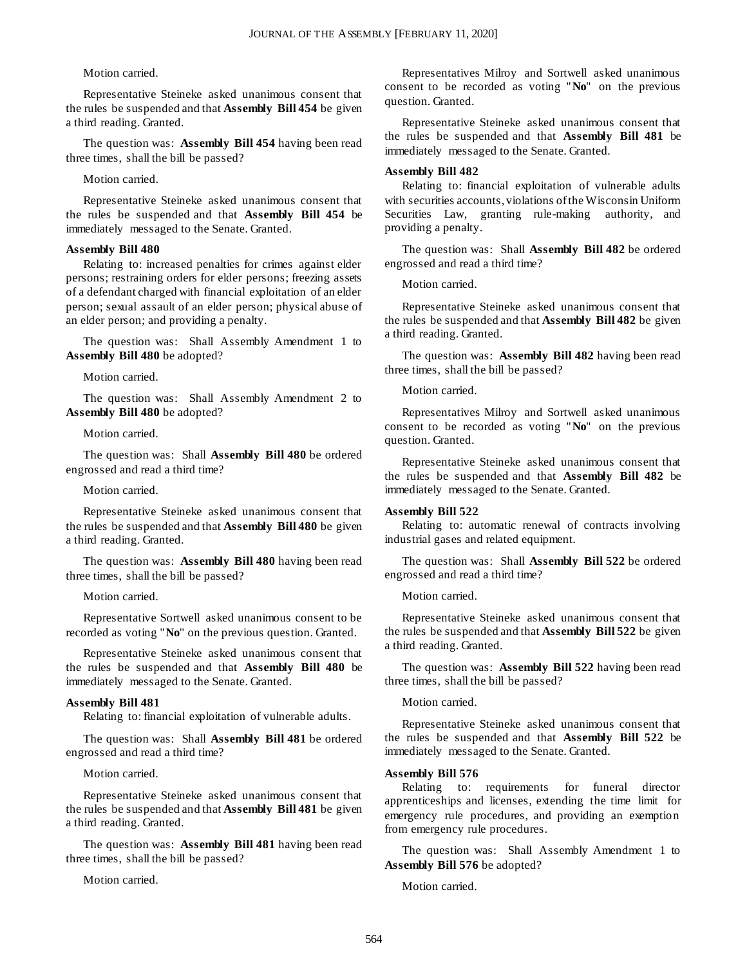#### Motion carried.

Representative Steineke asked unanimous consent that the rules be suspended and that **Assembly Bill 454** be given a third reading. Granted.

The question was: **Assembly Bill 454** having been read three times, shall the bill be passed?

Motion carried.

Representative Steineke asked unanimous consent that the rules be suspended and that **Assembly Bill 454** be immediately messaged to the Senate. Granted.

#### **Assembly Bill 480**

Relating to: increased penalties for crimes against elder persons; restraining orders for elder persons; freezing assets of a defendant charged with financial exploitation of an elder person; sexual assault of an elder person; physical abuse of an elder person; and providing a penalty.

The question was: Shall Assembly Amendment 1 to **Assembly Bill 480** be adopted?

Motion carried.

The question was: Shall Assembly Amendment 2 to **Assembly Bill 480** be adopted?

Motion carried.

The question was: Shall **Assembly Bill 480** be ordered engrossed and read a third time?

Motion carried.

Representative Steineke asked unanimous consent that the rules be suspended and that **Assembly Bill 480** be given a third reading. Granted.

The question was: **Assembly Bill 480** having been read three times, shall the bill be passed?

Motion carried.

Representative Sortwell asked unanimous consent to be recorded as voting "**No**" on the previous question. Granted.

Representative Steineke asked unanimous consent that the rules be suspended and that **Assembly Bill 480** be immediately messaged to the Senate. Granted.

#### **Assembly Bill 481**

Relating to: financial exploitation of vulnerable adults.

The question was: Shall **Assembly Bill 481** be ordered engrossed and read a third time?

Motion carried.

Representative Steineke asked unanimous consent that the rules be suspended and that **Assembly Bill 481** be given a third reading. Granted.

The question was: **Assembly Bill 481** having been read three times, shall the bill be passed?

Motion carried.

Representatives Milroy and Sortwell asked unanimous consent to be recorded as voting "**No**" on the previous question. Granted.

Representative Steineke asked unanimous consent that the rules be suspended and that **Assembly Bill 481** be immediately messaged to the Senate. Granted.

#### **Assembly Bill 482**

Relating to: financial exploitation of vulnerable adults with securities accounts, violations of the Wisconsin Uniform Securities Law, granting rule-making authority, and providing a penalty.

The question was: Shall **Assembly Bill 482** be ordered engrossed and read a third time?

Motion carried.

Representative Steineke asked unanimous consent that the rules be suspended and that **Assembly Bill 482** be given a third reading. Granted.

The question was: **Assembly Bill 482** having been read three times, shall the bill be passed?

Motion carried.

Representatives Milroy and Sortwell asked unanimous consent to be recorded as voting "**No**" on the previous question. Granted.

Representative Steineke asked unanimous consent that the rules be suspended and that **Assembly Bill 482** be immediately messaged to the Senate. Granted.

#### **Assembly Bill 522**

Relating to: automatic renewal of contracts involving industrial gases and related equipment.

The question was: Shall **Assembly Bill 522** be ordered engrossed and read a third time?

Motion carried.

Representative Steineke asked unanimous consent that the rules be suspended and that **Assembly Bill 522** be given a third reading. Granted.

The question was: **Assembly Bill 522** having been read three times, shall the bill be passed?

Motion carried.

Representative Steineke asked unanimous consent that the rules be suspended and that **Assembly Bill 522** be immediately messaged to the Senate. Granted.

#### **Assembly Bill 576**

Relating to: requirements for funeral director apprenticeships and licenses, extending the time limit for emergency rule procedures, and providing an exemption from emergency rule procedures.

The question was: Shall Assembly Amendment 1 to **Assembly Bill 576** be adopted?

Motion carried.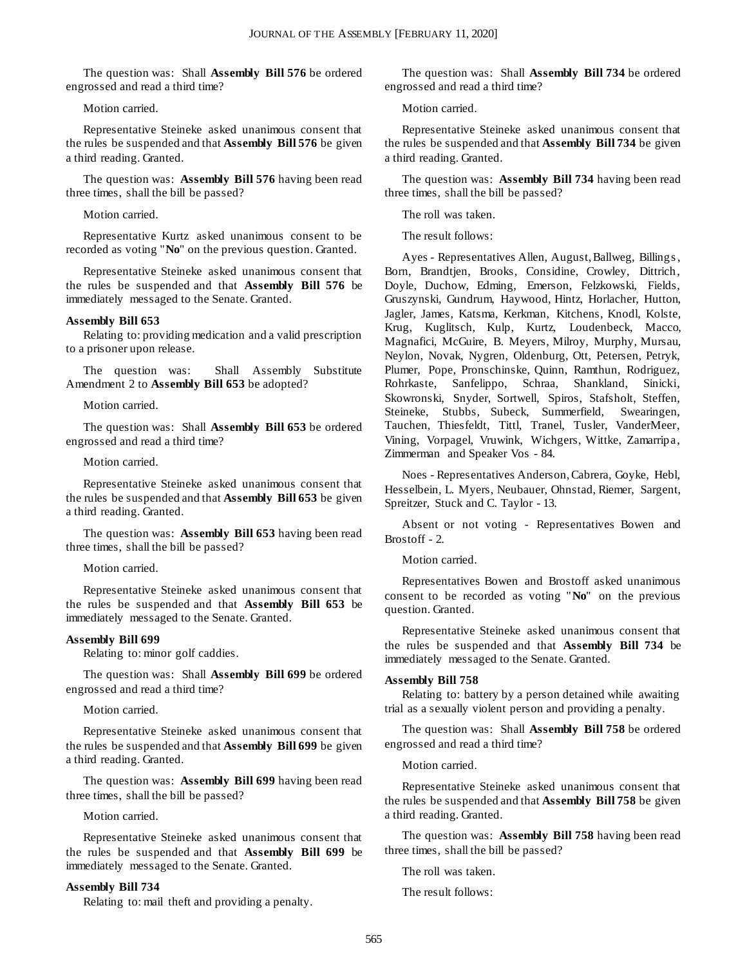The question was: Shall **Assembly Bill 576** be ordered engrossed and read a third time?

Motion carried.

Representative Steineke asked unanimous consent that the rules be suspended and that **Assembly Bill 576** be given a third reading. Granted.

The question was: **Assembly Bill 576** having been read three times, shall the bill be passed?

Motion carried.

Representative Kurtz asked unanimous consent to be recorded as voting "**No**" on the previous question. Granted.

Representative Steineke asked unanimous consent that the rules be suspended and that **Assembly Bill 576** be immediately messaged to the Senate. Granted.

#### **Assembly Bill 653**

Relating to: providing medication and a valid prescription to a prisoner upon release.

The question was: Shall Assembly Substitute Amendment 2 to **Assembly Bill 653** be adopted?

Motion carried.

The question was: Shall **Assembly Bill 653** be ordered engrossed and read a third time?

Motion carried.

Representative Steineke asked unanimous consent that the rules be suspended and that **Assembly Bill 653** be given a third reading. Granted.

The question was: **Assembly Bill 653** having been read three times, shall the bill be passed?

Motion carried.

Representative Steineke asked unanimous consent that the rules be suspended and that **Assembly Bill 653** be immediately messaged to the Senate. Granted.

#### **Assembly Bill 699**

Relating to: minor golf caddies.

The question was: Shall **Assembly Bill 699** be ordered engrossed and read a third time?

Motion carried.

Representative Steineke asked unanimous consent that the rules be suspended and that **Assembly Bill 699** be given a third reading. Granted.

The question was: **Assembly Bill 699** having been read three times, shall the bill be passed?

Motion carried.

Representative Steineke asked unanimous consent that the rules be suspended and that **Assembly Bill 699** be immediately messaged to the Senate. Granted.

#### **Assembly Bill 734**

Relating to: mail theft and providing a penalty.

The question was: Shall **Assembly Bill 734** be ordered engrossed and read a third time?

Motion carried.

Representative Steineke asked unanimous consent that the rules be suspended and that **Assembly Bill 734** be given a third reading. Granted.

The question was: **Assembly Bill 734** having been read three times, shall the bill be passed?

The roll was taken.

The result follows:

Ayes - Representatives Allen, August, Ballweg, Billings , Born, Brandtjen, Brooks, Considine, Crowley, Dittrich, Doyle, Duchow, Edming, Emerson, Felzkowski, Fields, Gruszynski, Gundrum, Haywood, Hintz, Horlacher, Hutton, Jagler, James, Katsma, Kerkman, Kitchens, Knodl, Kolste, Krug, Kuglitsch, Kulp, Kurtz, Loudenbeck, Macco, Magnafici, McGuire, B. Meyers, Milroy, Murphy, Mursau, Neylon, Novak, Nygren, Oldenburg, Ott, Petersen, Petryk, Plumer, Pope, Pronschinske, Quinn, Ramthun, Rodriguez, Rohrkaste, Sanfelippo, Schraa, Shankland, Sinicki, Skowronski, Snyder, Sortwell, Spiros, Stafsholt, Steffen, Steineke, Stubbs, Subeck, Summerfield, Swearingen, Tauchen, Thiesfeldt, Tittl, Tranel, Tusler, VanderMeer, Vining, Vorpagel, Vruwink, Wichgers, Wittke, Zamarripa, Zimmerman and Speaker Vos - 84.

Noes - Representatives Anderson, Cabrera, Goyke, Hebl, Hesselbein, L. Myers, Neubauer, Ohnstad, Riemer, Sargent, Spreitzer, Stuck and C. Taylor - 13.

Absent or not voting - Representatives Bowen and Brostoff - 2.

Motion carried.

Representatives Bowen and Brostoff asked unanimous consent to be recorded as voting "**No**" on the previous question. Granted.

Representative Steineke asked unanimous consent that the rules be suspended and that **Assembly Bill 734** be immediately messaged to the Senate. Granted.

#### **Assembly Bill 758**

Relating to: battery by a person detained while awaiting trial as a sexually violent person and providing a penalty.

The question was: Shall **Assembly Bill 758** be ordered engrossed and read a third time?

Motion carried.

Representative Steineke asked unanimous consent that the rules be suspended and that **Assembly Bill 758** be given a third reading. Granted.

The question was: **Assembly Bill 758** having been read three times, shall the bill be passed?

The roll was taken.

The result follows: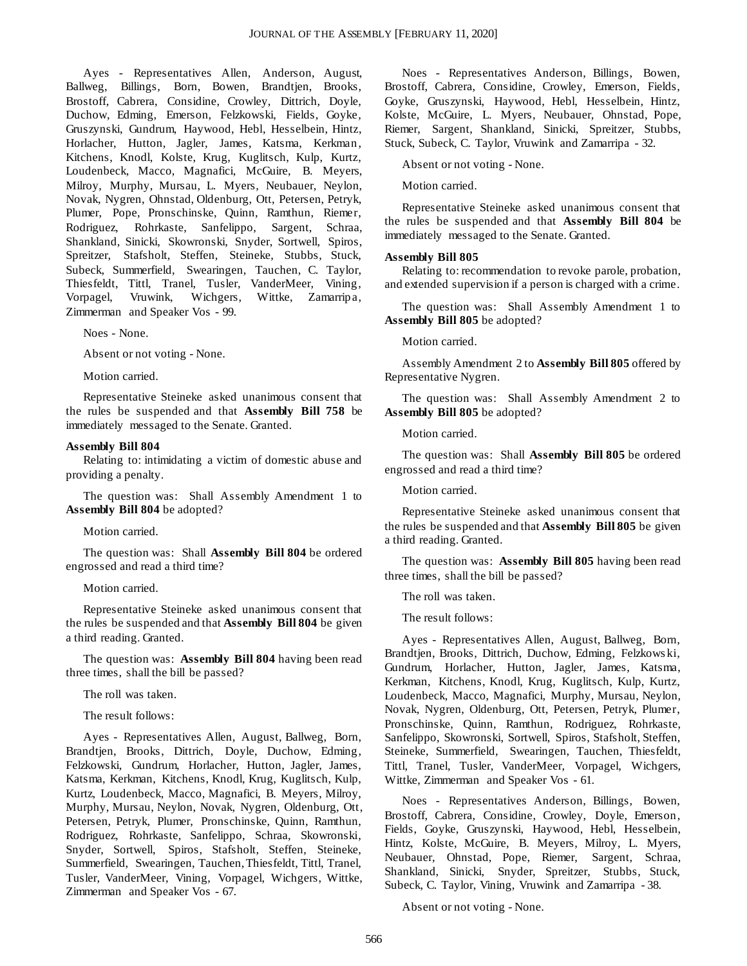Ayes - Representatives Allen, Anderson, August, Ballweg, Billings, Born, Bowen, Brandtjen, Brooks, Brostoff, Cabrera, Considine, Crowley, Dittrich, Doyle, Duchow, Edming, Emerson, Felzkowski, Fields, Goyke, Gruszynski, Gundrum, Haywood, Hebl, Hesselbein, Hintz, Horlacher, Hutton, Jagler, James, Katsma, Kerkman, Kitchens, Knodl, Kolste, Krug, Kuglitsch, Kulp, Kurtz, Loudenbeck, Macco, Magnafici, McGuire, B. Meyers, Milroy, Murphy, Mursau, L. Myers, Neubauer, Neylon, Novak, Nygren, Ohnstad, Oldenburg, Ott, Petersen, Petryk, Plumer, Pope, Pronschinske, Quinn, Ramthun, Riemer, Rodriguez, Rohrkaste, Sanfelippo, Sargent, Schraa, Shankland, Sinicki, Skowronski, Snyder, Sortwell, Spiros, Spreitzer, Stafsholt, Steffen, Steineke, Stubbs, Stuck, Subeck, Summerfield, Swearingen, Tauchen, C. Taylor, Thiesfeldt, Tittl, Tranel, Tusler, VanderMeer, Vining, Vorpagel, Vruwink, Wichgers, Wittke, Zamarripa, Zimmerman and Speaker Vos - 99.

Noes - None.

Absent or not voting - None.

Motion carried.

Representative Steineke asked unanimous consent that the rules be suspended and that **Assembly Bill 758** be immediately messaged to the Senate. Granted.

#### **Assembly Bill 804**

Relating to: intimidating a victim of domestic abuse and providing a penalty.

The question was: Shall Assembly Amendment 1 to **Assembly Bill 804** be adopted?

Motion carried.

The question was: Shall **Assembly Bill 804** be ordered engrossed and read a third time?

Motion carried.

Representative Steineke asked unanimous consent that the rules be suspended and that **Assembly Bill 804** be given a third reading. Granted.

The question was: **Assembly Bill 804** having been read three times, shall the bill be passed?

The roll was taken.

The result follows:

Ayes - Representatives Allen, August, Ballweg, Born, Brandtjen, Brooks, Dittrich, Doyle, Duchow, Edming, Felzkowski, Gundrum, Horlacher, Hutton, Jagler, James, Katsma, Kerkman, Kitchens, Knodl, Krug, Kuglitsch, Kulp, Kurtz, Loudenbeck, Macco, Magnafici, B. Meyers, Milroy, Murphy, Mursau, Neylon, Novak, Nygren, Oldenburg, Ott, Petersen, Petryk, Plumer, Pronschinske, Quinn, Ramthun, Rodriguez, Rohrkaste, Sanfelippo, Schraa, Skowronski, Snyder, Sortwell, Spiros, Stafsholt, Steffen, Steineke, Summerfield, Swearingen, Tauchen, Thiesfeldt, Tittl, Tranel, Tusler, VanderMeer, Vining, Vorpagel, Wichgers, Wittke, Zimmerman and Speaker Vos - 67.

Noes - Representatives Anderson, Billings, Bowen, Brostoff, Cabrera, Considine, Crowley, Emerson, Fields, Goyke, Gruszynski, Haywood, Hebl, Hesselbein, Hintz, Kolste, McGuire, L. Myers, Neubauer, Ohnstad, Pope, Riemer, Sargent, Shankland, Sinicki, Spreitzer, Stubbs, Stuck, Subeck, C. Taylor, Vruwink and Zamarripa - 32.

Absent or not voting - None.

Motion carried.

Representative Steineke asked unanimous consent that the rules be suspended and that **Assembly Bill 804** be immediately messaged to the Senate. Granted.

#### **Assembly Bill 805**

Relating to: recommendation to revoke parole, probation, and extended supervision if a person is charged with a crime.

The question was: Shall Assembly Amendment 1 to **Assembly Bill 805** be adopted?

Motion carried.

Assembly Amendment 2 to **Assembly Bill 805** offered by Representative Nygren.

The question was: Shall Assembly Amendment 2 to **Assembly Bill 805** be adopted?

Motion carried.

The question was: Shall **Assembly Bill 805** be ordered engrossed and read a third time?

Motion carried.

Representative Steineke asked unanimous consent that the rules be suspended and that **Assembly Bill 805** be given a third reading. Granted.

The question was: **Assembly Bill 805** having been read three times, shall the bill be passed?

The roll was taken.

The result follows:

Ayes - Representatives Allen, August, Ballweg, Born, Brandtjen, Brooks, Dittrich, Duchow, Edming, Felzkows ki, Gundrum, Horlacher, Hutton, Jagler, James, Katsma, Kerkman, Kitchens, Knodl, Krug, Kuglitsch, Kulp, Kurtz, Loudenbeck, Macco, Magnafici, Murphy, Mursau, Neylon, Novak, Nygren, Oldenburg, Ott, Petersen, Petryk, Plumer, Pronschinske, Quinn, Ramthun, Rodriguez, Rohrkaste, Sanfelippo, Skowronski, Sortwell, Spiros, Stafsholt, Steffen, Steineke, Summerfield, Swearingen, Tauchen, Thiesfeldt, Tittl, Tranel, Tusler, VanderMeer, Vorpagel, Wichgers, Wittke, Zimmerman and Speaker Vos - 61.

Noes - Representatives Anderson, Billings, Bowen, Brostoff, Cabrera, Considine, Crowley, Doyle, Emerson, Fields, Goyke, Gruszynski, Haywood, Hebl, Hesselbein, Hintz, Kolste, McGuire, B. Meyers, Milroy, L. Myers, Neubauer, Ohnstad, Pope, Riemer, Sargent, Schraa, Shankland, Sinicki, Snyder, Spreitzer, Stubbs, Stuck, Subeck, C. Taylor, Vining, Vruwink and Zamarripa - 38.

Absent or not voting - None.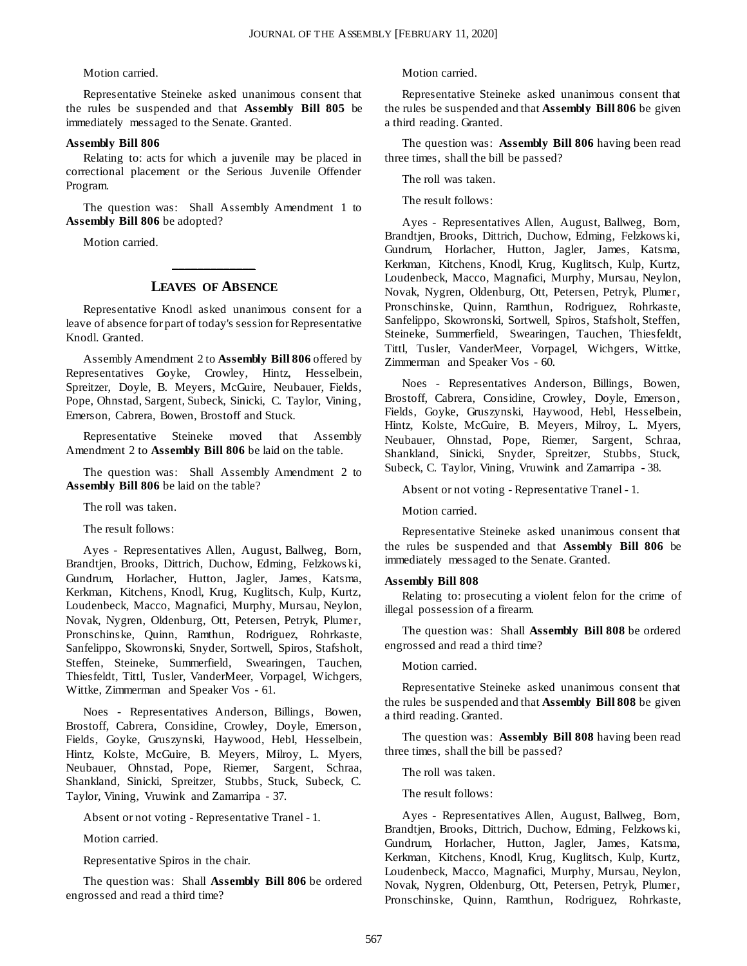#### Motion carried.

Representative Steineke asked unanimous consent that the rules be suspended and that **Assembly Bill 805** be immediately messaged to the Senate. Granted.

#### **Assembly Bill 806**

Relating to: acts for which a juvenile may be placed in correctional placement or the Serious Juvenile Offender Program.

The question was: Shall Assembly Amendment 1 to **Assembly Bill 806** be adopted?

Motion carried.

## **\_\_\_\_\_\_\_\_\_\_\_\_\_ LEAVES OF ABSENCE**

Representative Knodl asked unanimous consent for a leave of absence for part of today's session for Representative Knodl. Granted.

Assembly Amendment 2 to **Assembly Bill 806** offered by Representatives Goyke, Crowley, Hintz, Hesselbein, Spreitzer, Doyle, B. Meyers, McGuire, Neubauer, Fields, Pope, Ohnstad, Sargent, Subeck, Sinicki, C. Taylor, Vining, Emerson, Cabrera, Bowen, Brostoff and Stuck.

Representative Steineke moved that Assembly Amendment 2 to **Assembly Bill 806** be laid on the table.

The question was: Shall Assembly Amendment 2 to **Assembly Bill 806** be laid on the table?

The roll was taken.

The result follows:

Ayes - Representatives Allen, August, Ballweg, Born, Brandtjen, Brooks, Dittrich, Duchow, Edming, Felzkows ki, Gundrum, Horlacher, Hutton, Jagler, James, Katsma, Kerkman, Kitchens, Knodl, Krug, Kuglitsch, Kulp, Kurtz, Loudenbeck, Macco, Magnafici, Murphy, Mursau, Neylon, Novak, Nygren, Oldenburg, Ott, Petersen, Petryk, Plumer, Pronschinske, Quinn, Ramthun, Rodriguez, Rohrkaste, Sanfelippo, Skowronski, Snyder, Sortwell, Spiros, Stafsholt, Steffen, Steineke, Summerfield, Swearingen, Tauchen, Thiesfeldt, Tittl, Tusler, VanderMeer, Vorpagel, Wichgers, Wittke, Zimmerman and Speaker Vos - 61.

Noes - Representatives Anderson, Billings, Bowen, Brostoff, Cabrera, Considine, Crowley, Doyle, Emerson, Fields, Goyke, Gruszynski, Haywood, Hebl, Hesselbein, Hintz, Kolste, McGuire, B. Meyers, Milroy, L. Myers, Neubauer, Ohnstad, Pope, Riemer, Sargent, Schraa, Shankland, Sinicki, Spreitzer, Stubbs, Stuck, Subeck, C. Taylor, Vining, Vruwink and Zamarripa - 37.

Absent or not voting - Representative Tranel - 1.

Motion carried.

Representative Spiros in the chair.

The question was: Shall **Assembly Bill 806** be ordered engrossed and read a third time?

Motion carried.

Representative Steineke asked unanimous consent that the rules be suspended and that **Assembly Bill 806** be given a third reading. Granted.

The question was: **Assembly Bill 806** having been read three times, shall the bill be passed?

The roll was taken.

The result follows:

Ayes - Representatives Allen, August, Ballweg, Born, Brandtjen, Brooks, Dittrich, Duchow, Edming, Felzkows ki, Gundrum, Horlacher, Hutton, Jagler, James, Katsma, Kerkman, Kitchens, Knodl, Krug, Kuglitsch, Kulp, Kurtz, Loudenbeck, Macco, Magnafici, Murphy, Mursau, Neylon, Novak, Nygren, Oldenburg, Ott, Petersen, Petryk, Plumer, Pronschinske, Quinn, Ramthun, Rodriguez, Rohrkaste, Sanfelippo, Skowronski, Sortwell, Spiros, Stafsholt, Steffen, Steineke, Summerfield, Swearingen, Tauchen, Thiesfeldt, Tittl, Tusler, VanderMeer, Vorpagel, Wichgers, Wittke, Zimmerman and Speaker Vos - 60.

Noes - Representatives Anderson, Billings, Bowen, Brostoff, Cabrera, Considine, Crowley, Doyle, Emerson, Fields, Goyke, Gruszynski, Haywood, Hebl, Hesselbein, Hintz, Kolste, McGuire, B. Meyers, Milroy, L. Myers, Neubauer, Ohnstad, Pope, Riemer, Sargent, Schraa, Shankland, Sinicki, Snyder, Spreitzer, Stubbs, Stuck, Subeck, C. Taylor, Vining, Vruwink and Zamarripa - 38.

Absent or not voting - Representative Tranel - 1.

Motion carried.

Representative Steineke asked unanimous consent that the rules be suspended and that **Assembly Bill 806** be immediately messaged to the Senate. Granted.

#### **Assembly Bill 808**

Relating to: prosecuting a violent felon for the crime of illegal possession of a firearm.

The question was: Shall **Assembly Bill 808** be ordered engrossed and read a third time?

Motion carried.

Representative Steineke asked unanimous consent that the rules be suspended and that **Assembly Bill 808** be given a third reading. Granted.

The question was: **Assembly Bill 808** having been read three times, shall the bill be passed?

The roll was taken.

The result follows:

Ayes - Representatives Allen, August, Ballweg, Born, Brandtjen, Brooks, Dittrich, Duchow, Edming, Felzkows ki, Gundrum, Horlacher, Hutton, Jagler, James, Katsma, Kerkman, Kitchens, Knodl, Krug, Kuglitsch, Kulp, Kurtz, Loudenbeck, Macco, Magnafici, Murphy, Mursau, Neylon, Novak, Nygren, Oldenburg, Ott, Petersen, Petryk, Plumer, Pronschinske, Quinn, Ramthun, Rodriguez, Rohrkaste,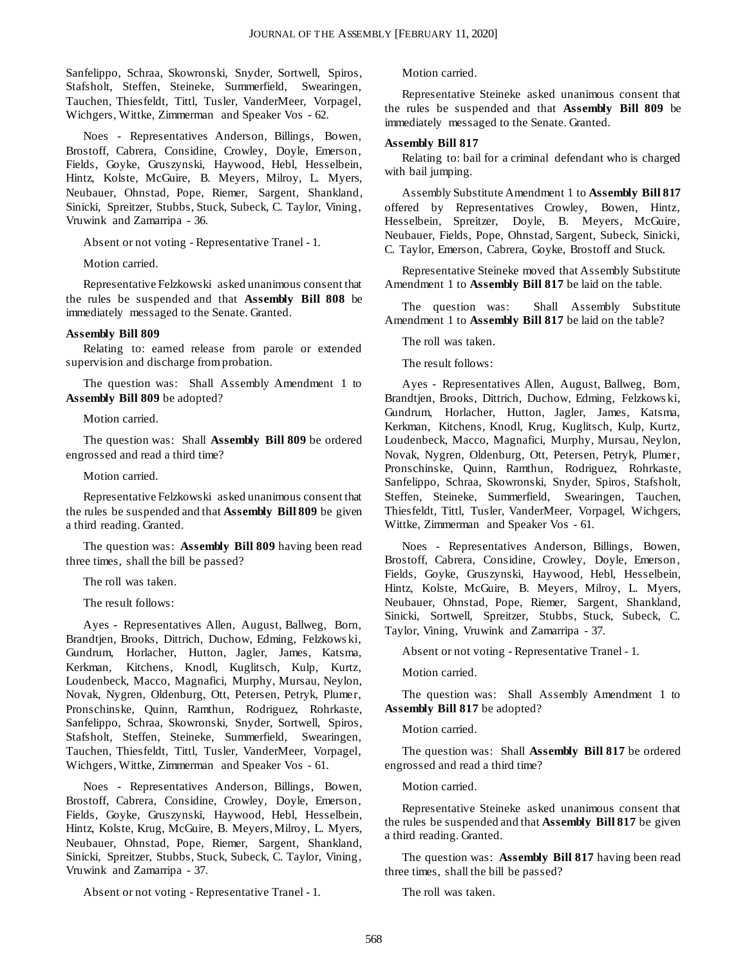Sanfelippo, Schraa, Skowronski, Snyder, Sortwell, Spiros, Stafsholt, Steffen, Steineke, Summerfield, Swearingen, Tauchen, Thiesfeldt, Tittl, Tusler, VanderMeer, Vorpagel, Wichgers, Wittke, Zimmerman and Speaker Vos - 62.

Noes - Representatives Anderson, Billings, Bowen, Brostoff, Cabrera, Considine, Crowley, Doyle, Emerson, Fields, Goyke, Gruszynski, Haywood, Hebl, Hesselbein, Hintz, Kolste, McGuire, B. Meyers, Milroy, L. Myers, Neubauer, Ohnstad, Pope, Riemer, Sargent, Shankland, Sinicki, Spreitzer, Stubbs, Stuck, Subeck, C. Taylor, Vining, Vruwink and Zamarripa - 36.

Absent or not voting - Representative Tranel - 1.

Motion carried.

Representative Felzkowski asked unanimous consent that the rules be suspended and that **Assembly Bill 808** be immediately messaged to the Senate. Granted.

#### **Assembly Bill 809**

Relating to: earned release from parole or extended supervision and discharge from probation.

The question was: Shall Assembly Amendment 1 to **Assembly Bill 809** be adopted?

Motion carried.

The question was: Shall **Assembly Bill 809** be ordered engrossed and read a third time?

Motion carried.

Representative Felzkowski asked unanimous consent that the rules be suspended and that **Assembly Bill 809** be given a third reading. Granted.

The question was: **Assembly Bill 809** having been read three times, shall the bill be passed?

The roll was taken.

The result follows:

Ayes - Representatives Allen, August, Ballweg, Born, Brandtjen, Brooks, Dittrich, Duchow, Edming, Felzkows ki, Gundrum, Horlacher, Hutton, Jagler, James, Katsma, Kerkman, Kitchens, Knodl, Kuglitsch, Kulp, Kurtz, Loudenbeck, Macco, Magnafici, Murphy, Mursau, Neylon, Novak, Nygren, Oldenburg, Ott, Petersen, Petryk, Plumer, Pronschinske, Quinn, Ramthun, Rodriguez, Rohrkaste, Sanfelippo, Schraa, Skowronski, Snyder, Sortwell, Spiros, Stafsholt, Steffen, Steineke, Summerfield, Swearingen, Tauchen, Thiesfeldt, Tittl, Tusler, VanderMeer, Vorpagel, Wichgers, Wittke, Zimmerman and Speaker Vos - 61.

Noes - Representatives Anderson, Billings, Bowen, Brostoff, Cabrera, Considine, Crowley, Doyle, Emerson, Fields, Goyke, Gruszynski, Haywood, Hebl, Hesselbein, Hintz, Kolste, Krug, McGuire, B. Meyers, Milroy, L. Myers, Neubauer, Ohnstad, Pope, Riemer, Sargent, Shankland, Sinicki, Spreitzer, Stubbs, Stuck, Subeck, C. Taylor, Vining, Vruwink and Zamarripa - 37.

Absent or not voting - Representative Tranel - 1.

Motion carried.

Representative Steineke asked unanimous consent that the rules be suspended and that **Assembly Bill 809** be immediately messaged to the Senate. Granted.

#### **Assembly Bill 817**

Relating to: bail for a criminal defendant who is charged with bail jumping.

Assembly Substitute Amendment 1 to **Assembly Bill 817** offered by Representatives Crowley, Bowen, Hintz, Hesselbein, Spreitzer, Doyle, B. Meyers, McGuire, Neubauer, Fields, Pope, Ohnstad, Sargent, Subeck, Sinicki, C. Taylor, Emerson, Cabrera, Goyke, Brostoff and Stuck.

Representative Steineke moved that Assembly Substitute Amendment 1 to **Assembly Bill 817** be laid on the table.

The question was: Shall Assembly Substitute Amendment 1 to **Assembly Bill 817** be laid on the table?

The roll was taken.

The result follows:

Ayes - Representatives Allen, August, Ballweg, Born, Brandtjen, Brooks, Dittrich, Duchow, Edming, Felzkows ki, Gundrum, Horlacher, Hutton, Jagler, James, Katsma, Kerkman, Kitchens, Knodl, Krug, Kuglitsch, Kulp, Kurtz, Loudenbeck, Macco, Magnafici, Murphy, Mursau, Neylon, Novak, Nygren, Oldenburg, Ott, Petersen, Petryk, Plumer, Pronschinske, Quinn, Ramthun, Rodriguez, Rohrkaste, Sanfelippo, Schraa, Skowronski, Snyder, Spiros, Stafsholt, Steffen, Steineke, Summerfield, Swearingen, Tauchen, Thiesfeldt, Tittl, Tusler, VanderMeer, Vorpagel, Wichgers, Wittke, Zimmerman and Speaker Vos - 61.

Noes - Representatives Anderson, Billings, Bowen, Brostoff, Cabrera, Considine, Crowley, Doyle, Emerson, Fields, Goyke, Gruszynski, Haywood, Hebl, Hesselbein, Hintz, Kolste, McGuire, B. Meyers, Milroy, L. Myers, Neubauer, Ohnstad, Pope, Riemer, Sargent, Shankland, Sinicki, Sortwell, Spreitzer, Stubbs, Stuck, Subeck, C. Taylor, Vining, Vruwink and Zamarripa - 37.

Absent or not voting - Representative Tranel - 1.

Motion carried.

The question was: Shall Assembly Amendment 1 to **Assembly Bill 817** be adopted?

Motion carried.

The question was: Shall **Assembly Bill 817** be ordered engrossed and read a third time?

Motion carried.

Representative Steineke asked unanimous consent that the rules be suspended and that **Assembly Bill 817** be given a third reading. Granted.

The question was: **Assembly Bill 817** having been read three times, shall the bill be passed?

The roll was taken.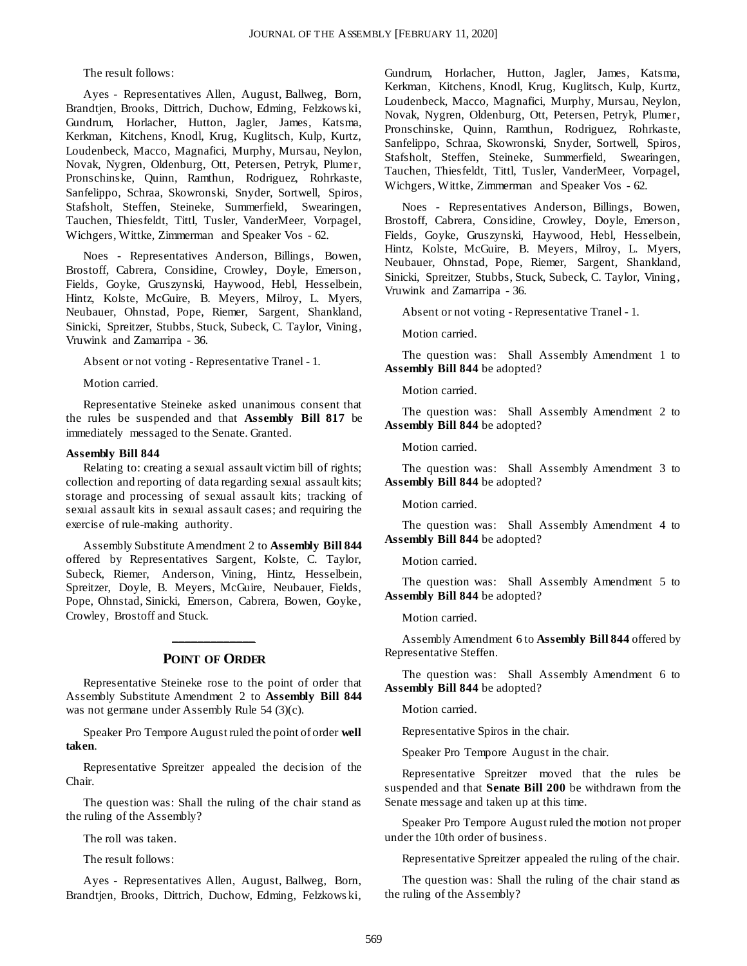The result follows:

Ayes - Representatives Allen, August, Ballweg, Born, Brandtjen, Brooks, Dittrich, Duchow, Edming, Felzkows ki, Gundrum, Horlacher, Hutton, Jagler, James, Katsma, Kerkman, Kitchens, Knodl, Krug, Kuglitsch, Kulp, Kurtz, Loudenbeck, Macco, Magnafici, Murphy, Mursau, Neylon, Novak, Nygren, Oldenburg, Ott, Petersen, Petryk, Plumer, Pronschinske, Quinn, Ramthun, Rodriguez, Rohrkaste, Sanfelippo, Schraa, Skowronski, Snyder, Sortwell, Spiros, Stafsholt, Steffen, Steineke, Summerfield, Swearingen, Tauchen, Thiesfeldt, Tittl, Tusler, VanderMeer, Vorpagel, Wichgers, Wittke, Zimmerman and Speaker Vos - 62.

Noes - Representatives Anderson, Billings, Bowen, Brostoff, Cabrera, Considine, Crowley, Doyle, Emerson, Fields, Goyke, Gruszynski, Haywood, Hebl, Hesselbein, Hintz, Kolste, McGuire, B. Meyers, Milroy, L. Myers, Neubauer, Ohnstad, Pope, Riemer, Sargent, Shankland, Sinicki, Spreitzer, Stubbs, Stuck, Subeck, C. Taylor, Vining, Vruwink and Zamarripa - 36.

Absent or not voting - Representative Tranel - 1.

Motion carried.

Representative Steineke asked unanimous consent that the rules be suspended and that **Assembly Bill 817** be immediately messaged to the Senate. Granted.

#### **Assembly Bill 844**

Relating to: creating a sexual assault victim bill of rights; collection and reporting of data regarding sexual assault kits; storage and processing of sexual assault kits; tracking of sexual assault kits in sexual assault cases; and requiring the exercise of rule-making authority.

Assembly Substitute Amendment 2 to **Assembly Bill 844** offered by Representatives Sargent, Kolste, C. Taylor, Subeck, Riemer, Anderson, Vining, Hintz, Hesselbein, Spreitzer, Doyle, B. Meyers, McGuire, Neubauer, Fields, Pope, Ohnstad, Sinicki, Emerson, Cabrera, Bowen, Goyke, Crowley, Brostoff and Stuck.

## **\_\_\_\_\_\_\_\_\_\_\_\_\_ POINT OF ORDER**

Representative Steineke rose to the point of order that Assembly Substitute Amendment 2 to **Assembly Bill 844** was not germane under Assembly Rule 54 (3)(c).

Speaker Pro Tempore August ruled the point of order **well taken**.

Representative Spreitzer appealed the decision of the Chair.

The question was: Shall the ruling of the chair stand as the ruling of the Assembly?

The roll was taken.

The result follows:

Ayes - Representatives Allen, August, Ballweg, Born, Brandtjen, Brooks, Dittrich, Duchow, Edming, Felzkows ki, Gundrum, Horlacher, Hutton, Jagler, James, Katsma, Kerkman, Kitchens, Knodl, Krug, Kuglitsch, Kulp, Kurtz, Loudenbeck, Macco, Magnafici, Murphy, Mursau, Neylon, Novak, Nygren, Oldenburg, Ott, Petersen, Petryk, Plumer, Pronschinske, Quinn, Ramthun, Rodriguez, Rohrkaste, Sanfelippo, Schraa, Skowronski, Snyder, Sortwell, Spiros, Stafsholt, Steffen, Steineke, Summerfield, Swearingen, Tauchen, Thiesfeldt, Tittl, Tusler, VanderMeer, Vorpagel, Wichgers, Wittke, Zimmerman and Speaker Vos - 62.

Noes - Representatives Anderson, Billings, Bowen, Brostoff, Cabrera, Considine, Crowley, Doyle, Emerson, Fields, Goyke, Gruszynski, Haywood, Hebl, Hesselbein, Hintz, Kolste, McGuire, B. Meyers, Milroy, L. Myers, Neubauer, Ohnstad, Pope, Riemer, Sargent, Shankland, Sinicki, Spreitzer, Stubbs, Stuck, Subeck, C. Taylor, Vining, Vruwink and Zamarripa - 36.

Absent or not voting - Representative Tranel - 1.

Motion carried.

The question was: Shall Assembly Amendment 1 to **Assembly Bill 844** be adopted?

Motion carried.

The question was: Shall Assembly Amendment 2 to **Assembly Bill 844** be adopted?

Motion carried.

The question was: Shall Assembly Amendment 3 to **Assembly Bill 844** be adopted?

Motion carried.

The question was: Shall Assembly Amendment 4 to **Assembly Bill 844** be adopted?

Motion carried.

The question was: Shall Assembly Amendment 5 to **Assembly Bill 844** be adopted?

Motion carried.

Assembly Amendment 6 to **Assembly Bill 844** offered by Representative Steffen.

The question was: Shall Assembly Amendment 6 to **Assembly Bill 844** be adopted?

Motion carried.

Representative Spiros in the chair.

Speaker Pro Tempore August in the chair.

Representative Spreitzer moved that the rules be suspended and that **Senate Bill 200** be withdrawn from the Senate message and taken up at this time.

Speaker Pro Tempore August ruled the motion not proper under the 10th order of business.

Representative Spreitzer appealed the ruling of the chair.

The question was: Shall the ruling of the chair stand as the ruling of the Assembly?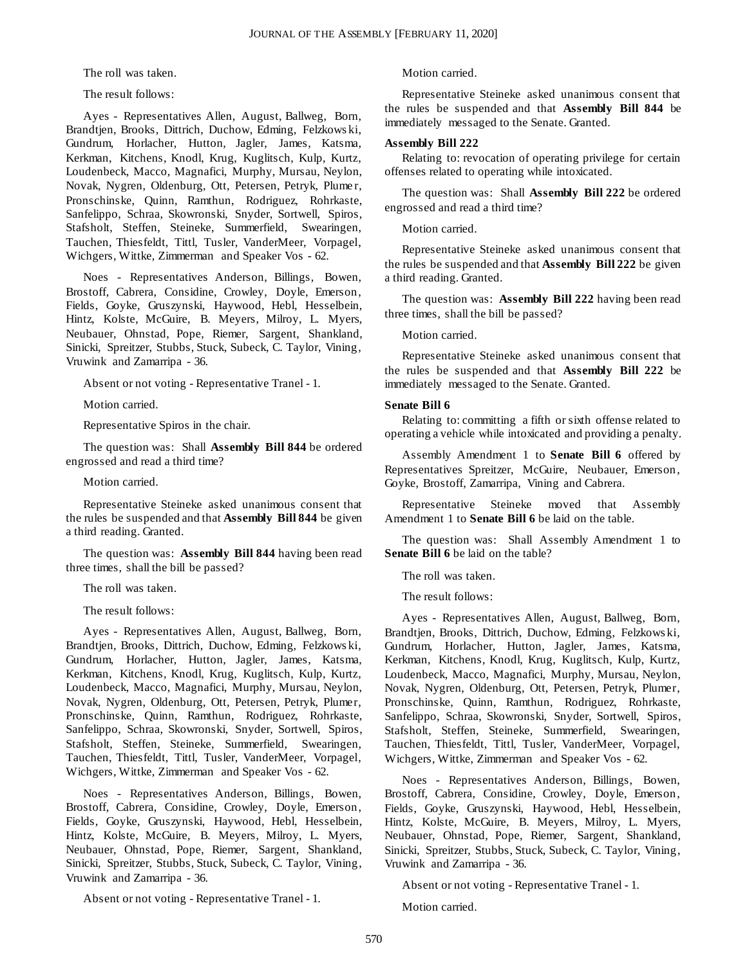The roll was taken.

The result follows:

Ayes - Representatives Allen, August, Ballweg, Born, Brandtjen, Brooks, Dittrich, Duchow, Edming, Felzkows ki, Gundrum, Horlacher, Hutton, Jagler, James, Katsma, Kerkman, Kitchens, Knodl, Krug, Kuglitsch, Kulp, Kurtz, Loudenbeck, Macco, Magnafici, Murphy, Mursau, Neylon, Novak, Nygren, Oldenburg, Ott, Petersen, Petryk, Plume r, Pronschinske, Quinn, Ramthun, Rodriguez, Rohrkaste, Sanfelippo, Schraa, Skowronski, Snyder, Sortwell, Spiros, Stafsholt, Steffen, Steineke, Summerfield, Swearingen, Tauchen, Thiesfeldt, Tittl, Tusler, VanderMeer, Vorpagel, Wichgers, Wittke, Zimmerman and Speaker Vos - 62.

Noes - Representatives Anderson, Billings, Bowen, Brostoff, Cabrera, Considine, Crowley, Doyle, Emerson, Fields, Goyke, Gruszynski, Haywood, Hebl, Hesselbein, Hintz, Kolste, McGuire, B. Meyers, Milroy, L. Myers, Neubauer, Ohnstad, Pope, Riemer, Sargent, Shankland, Sinicki, Spreitzer, Stubbs, Stuck, Subeck, C. Taylor, Vining, Vruwink and Zamarripa - 36.

Absent or not voting - Representative Tranel - 1.

Motion carried.

Representative Spiros in the chair.

The question was: Shall **Assembly Bill 844** be ordered engrossed and read a third time?

Motion carried.

Representative Steineke asked unanimous consent that the rules be suspended and that **Assembly Bill 844** be given a third reading. Granted.

The question was: **Assembly Bill 844** having been read three times, shall the bill be passed?

The roll was taken.

The result follows:

Ayes - Representatives Allen, August, Ballweg, Born, Brandtjen, Brooks, Dittrich, Duchow, Edming, Felzkows ki, Gundrum, Horlacher, Hutton, Jagler, James, Katsma, Kerkman, Kitchens, Knodl, Krug, Kuglitsch, Kulp, Kurtz, Loudenbeck, Macco, Magnafici, Murphy, Mursau, Neylon, Novak, Nygren, Oldenburg, Ott, Petersen, Petryk, Plumer, Pronschinske, Quinn, Ramthun, Rodriguez, Rohrkaste, Sanfelippo, Schraa, Skowronski, Snyder, Sortwell, Spiros, Stafsholt, Steffen, Steineke, Summerfield, Swearingen, Tauchen, Thiesfeldt, Tittl, Tusler, VanderMeer, Vorpagel, Wichgers, Wittke, Zimmerman and Speaker Vos - 62.

Noes - Representatives Anderson, Billings, Bowen, Brostoff, Cabrera, Considine, Crowley, Doyle, Emerson, Fields, Goyke, Gruszynski, Haywood, Hebl, Hesselbein, Hintz, Kolste, McGuire, B. Meyers, Milroy, L. Myers, Neubauer, Ohnstad, Pope, Riemer, Sargent, Shankland, Sinicki, Spreitzer, Stubbs, Stuck, Subeck, C. Taylor, Vining, Vruwink and Zamarripa - 36.

Absent or not voting - Representative Tranel - 1.

Motion carried.

Representative Steineke asked unanimous consent that the rules be suspended and that **Assembly Bill 844** be immediately messaged to the Senate. Granted.

#### **Assembly Bill 222**

Relating to: revocation of operating privilege for certain offenses related to operating while intoxicated.

The question was: Shall **Assembly Bill 222** be ordered engrossed and read a third time?

Motion carried.

Representative Steineke asked unanimous consent that the rules be suspended and that **Assembly Bill 222** be given a third reading. Granted.

The question was: **Assembly Bill 222** having been read three times, shall the bill be passed?

Motion carried.

Representative Steineke asked unanimous consent that the rules be suspended and that **Assembly Bill 222** be immediately messaged to the Senate. Granted.

#### **Senate Bill 6**

Relating to: committing a fifth or sixth offense related to operating a vehicle while intoxicated and providing a penalty.

Assembly Amendment 1 to **Senate Bill 6** offered by Representatives Spreitzer, McGuire, Neubauer, Emerson, Goyke, Brostoff, Zamarripa, Vining and Cabrera.

Representative Steineke moved that Assembly Amendment 1 to **Senate Bill 6** be laid on the table.

The question was: Shall Assembly Amendment 1 to **Senate Bill 6** be laid on the table?

The roll was taken.

The result follows:

Ayes - Representatives Allen, August, Ballweg, Born, Brandtjen, Brooks, Dittrich, Duchow, Edming, Felzkows ki, Gundrum, Horlacher, Hutton, Jagler, James, Katsma, Kerkman, Kitchens, Knodl, Krug, Kuglitsch, Kulp, Kurtz, Loudenbeck, Macco, Magnafici, Murphy, Mursau, Neylon, Novak, Nygren, Oldenburg, Ott, Petersen, Petryk, Plumer, Pronschinske, Quinn, Ramthun, Rodriguez, Rohrkaste, Sanfelippo, Schraa, Skowronski, Snyder, Sortwell, Spiros, Stafsholt, Steffen, Steineke, Summerfield, Swearingen, Tauchen, Thiesfeldt, Tittl, Tusler, VanderMeer, Vorpagel, Wichgers, Wittke, Zimmerman and Speaker Vos - 62.

Noes - Representatives Anderson, Billings, Bowen, Brostoff, Cabrera, Considine, Crowley, Doyle, Emerson, Fields, Goyke, Gruszynski, Haywood, Hebl, Hesselbein, Hintz, Kolste, McGuire, B. Meyers, Milroy, L. Myers, Neubauer, Ohnstad, Pope, Riemer, Sargent, Shankland, Sinicki, Spreitzer, Stubbs, Stuck, Subeck, C. Taylor, Vining, Vruwink and Zamarripa - 36.

Absent or not voting - Representative Tranel - 1.

Motion carried.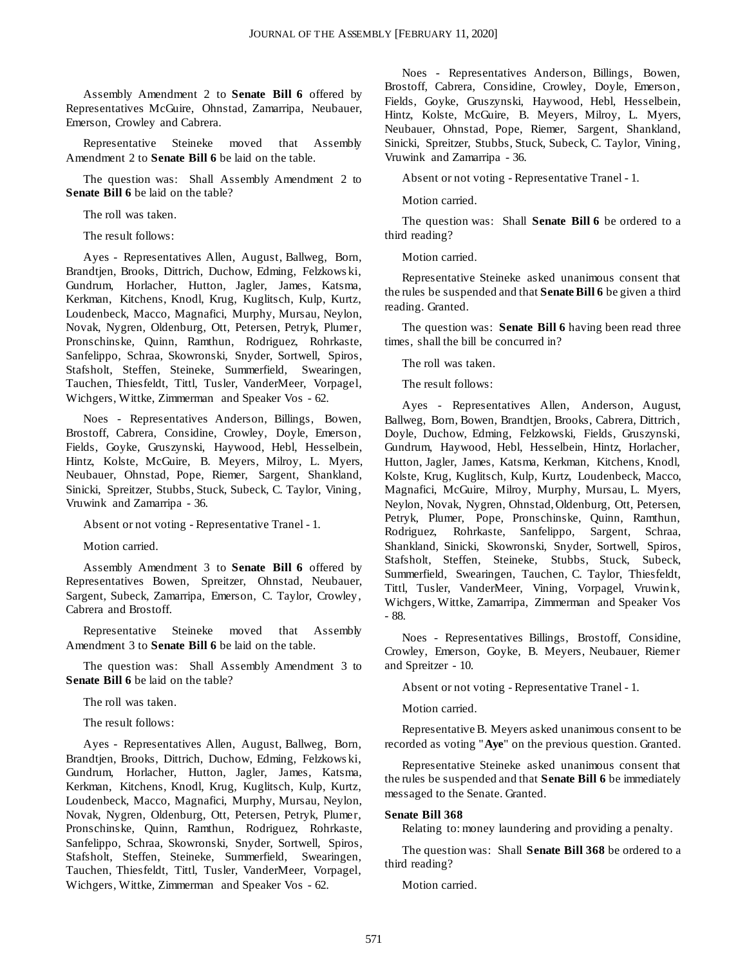Assembly Amendment 2 to **Senate Bill 6** offered by Representatives McGuire, Ohnstad, Zamarripa, Neubauer, Emerson, Crowley and Cabrera.

Representative Steineke moved that Assembly Amendment 2 to **Senate Bill 6** be laid on the table.

The question was: Shall Assembly Amendment 2 to **Senate Bill 6** be laid on the table?

The roll was taken.

The result follows:

Ayes - Representatives Allen, August, Ballweg, Born, Brandtjen, Brooks, Dittrich, Duchow, Edming, Felzkows ki, Gundrum, Horlacher, Hutton, Jagler, James, Katsma, Kerkman, Kitchens, Knodl, Krug, Kuglitsch, Kulp, Kurtz, Loudenbeck, Macco, Magnafici, Murphy, Mursau, Neylon, Novak, Nygren, Oldenburg, Ott, Petersen, Petryk, Plumer, Pronschinske, Quinn, Ramthun, Rodriguez, Rohrkaste, Sanfelippo, Schraa, Skowronski, Snyder, Sortwell, Spiros, Stafsholt, Steffen, Steineke, Summerfield, Swearingen, Tauchen, Thiesfeldt, Tittl, Tusler, VanderMeer, Vorpagel, Wichgers, Wittke, Zimmerman and Speaker Vos - 62.

Noes - Representatives Anderson, Billings, Bowen, Brostoff, Cabrera, Considine, Crowley, Doyle, Emerson, Fields, Goyke, Gruszynski, Haywood, Hebl, Hesselbein, Hintz, Kolste, McGuire, B. Meyers, Milroy, L. Myers, Neubauer, Ohnstad, Pope, Riemer, Sargent, Shankland, Sinicki, Spreitzer, Stubbs, Stuck, Subeck, C. Taylor, Vining, Vruwink and Zamarripa - 36.

Absent or not voting - Representative Tranel - 1.

Motion carried.

Assembly Amendment 3 to **Senate Bill 6** offered by Representatives Bowen, Spreitzer, Ohnstad, Neubauer, Sargent, Subeck, Zamarripa, Emerson, C. Taylor, Crowley, Cabrera and Brostoff.

Representative Steineke moved that Assembly Amendment 3 to **Senate Bill 6** be laid on the table.

The question was: Shall Assembly Amendment 3 to **Senate Bill 6** be laid on the table?

The roll was taken.

The result follows:

Ayes - Representatives Allen, August, Ballweg, Born, Brandtjen, Brooks, Dittrich, Duchow, Edming, Felzkows ki, Gundrum, Horlacher, Hutton, Jagler, James, Katsma, Kerkman, Kitchens, Knodl, Krug, Kuglitsch, Kulp, Kurtz, Loudenbeck, Macco, Magnafici, Murphy, Mursau, Neylon, Novak, Nygren, Oldenburg, Ott, Petersen, Petryk, Plumer, Pronschinske, Quinn, Ramthun, Rodriguez, Rohrkaste, Sanfelippo, Schraa, Skowronski, Snyder, Sortwell, Spiros, Stafsholt, Steffen, Steineke, Summerfield, Swearingen, Tauchen, Thiesfeldt, Tittl, Tusler, VanderMeer, Vorpagel, Wichgers, Wittke, Zimmerman and Speaker Vos - 62.

Noes - Representatives Anderson, Billings, Bowen, Brostoff, Cabrera, Considine, Crowley, Doyle, Emerson, Fields, Goyke, Gruszynski, Haywood, Hebl, Hesselbein, Hintz, Kolste, McGuire, B. Meyers, Milroy, L. Myers, Neubauer, Ohnstad, Pope, Riemer, Sargent, Shankland, Sinicki, Spreitzer, Stubbs, Stuck, Subeck, C. Taylor, Vining, Vruwink and Zamarripa - 36.

Absent or not voting - Representative Tranel - 1.

Motion carried.

The question was: Shall **Senate Bill 6** be ordered to a third reading?

Motion carried.

Representative Steineke asked unanimous consent that the rules be suspended and that **Senate Bill 6** be given a third reading. Granted.

The question was: **Senate Bill 6** having been read three times, shall the bill be concurred in?

The roll was taken.

The result follows:

Ayes - Representatives Allen, Anderson, August, Ballweg, Born, Bowen, Brandtjen, Brooks, Cabrera, Dittrich, Doyle, Duchow, Edming, Felzkowski, Fields, Gruszynski, Gundrum, Haywood, Hebl, Hesselbein, Hintz, Horlacher, Hutton, Jagler, James, Katsma, Kerkman, Kitchens, Knodl, Kolste, Krug, Kuglitsch, Kulp, Kurtz, Loudenbeck, Macco, Magnafici, McGuire, Milroy, Murphy, Mursau, L. Myers, Neylon, Novak, Nygren, Ohnstad, Oldenburg, Ott, Petersen, Petryk, Plumer, Pope, Pronschinske, Quinn, Ramthun, Rodriguez, Rohrkaste, Sanfelippo, Sargent, Schraa, Shankland, Sinicki, Skowronski, Snyder, Sortwell, Spiros, Stafsholt, Steffen, Steineke, Stubbs, Stuck, Subeck, Summerfield, Swearingen, Tauchen, C. Taylor, Thiesfeldt, Tittl, Tusler, VanderMeer, Vining, Vorpagel, Vruwink, Wichgers, Wittke, Zamarripa, Zimmerman and Speaker Vos - 88.

Noes - Representatives Billings, Brostoff, Considine, Crowley, Emerson, Goyke, B. Meyers, Neubauer, Riemer and Spreitzer - 10.

Absent or not voting - Representative Tranel - 1.

Motion carried.

Representative B. Meyers asked unanimous consent to be recorded as voting "**Aye**" on the previous question. Granted.

Representative Steineke asked unanimous consent that the rules be suspended and that **Senate Bill 6** be immediately messaged to the Senate. Granted.

#### **Senate Bill 368**

Relating to: money laundering and providing a penalty.

The question was: Shall **Senate Bill 368** be ordered to a third reading?

Motion carried.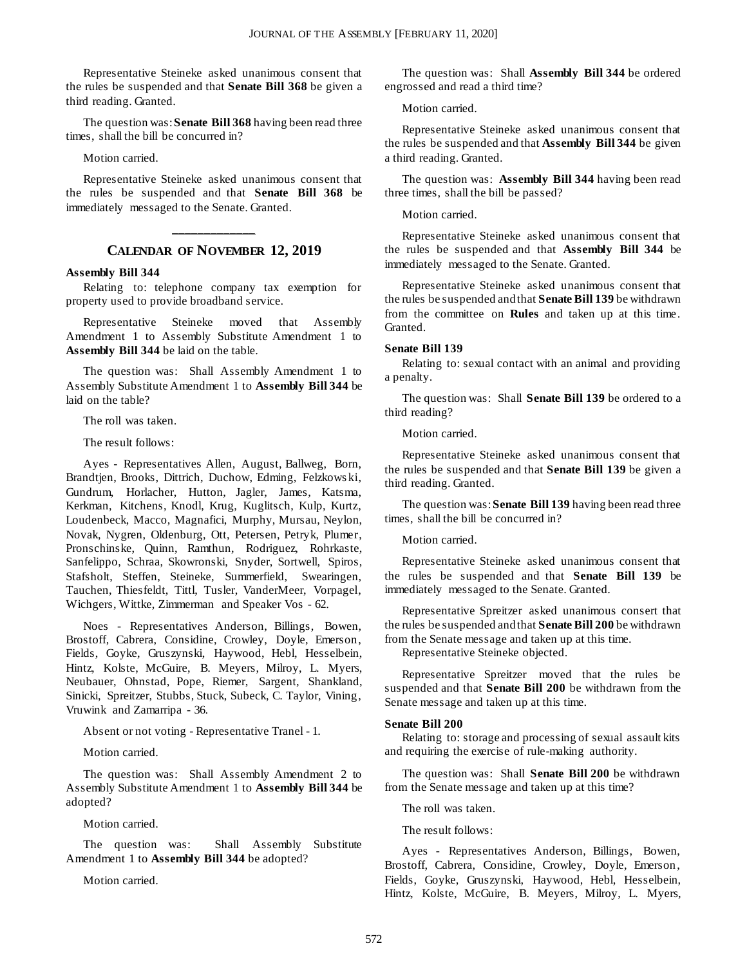Representative Steineke asked unanimous consent that the rules be suspended and that **Senate Bill 368** be given a third reading. Granted.

The question was: **Senate Bill 368** having been read three times, shall the bill be concurred in?

Motion carried.

Representative Steineke asked unanimous consent that the rules be suspended and that **Senate Bill 368** be immediately messaged to the Senate. Granted.

## **\_\_\_\_\_\_\_\_\_\_\_\_\_ CALENDAR OF NOVEMBER 12, 2019**

#### **Assembly Bill 344**

Relating to: telephone company tax exemption for property used to provide broadband service.

Representative Steineke moved that Assembly Amendment 1 to Assembly Substitute Amendment 1 to **Assembly Bill 344** be laid on the table.

The question was: Shall Assembly Amendment 1 to Assembly Substitute Amendment 1 to **Assembly Bill 344** be laid on the table?

The roll was taken.

The result follows:

Ayes - Representatives Allen, August, Ballweg, Born, Brandtjen, Brooks, Dittrich, Duchow, Edming, Felzkows ki, Gundrum, Horlacher, Hutton, Jagler, James, Katsma, Kerkman, Kitchens, Knodl, Krug, Kuglitsch, Kulp, Kurtz, Loudenbeck, Macco, Magnafici, Murphy, Mursau, Neylon, Novak, Nygren, Oldenburg, Ott, Petersen, Petryk, Plumer, Pronschinske, Quinn, Ramthun, Rodriguez, Rohrkaste, Sanfelippo, Schraa, Skowronski, Snyder, Sortwell, Spiros, Stafsholt, Steffen, Steineke, Summerfield, Swearingen, Tauchen, Thiesfeldt, Tittl, Tusler, VanderMeer, Vorpagel, Wichgers, Wittke, Zimmerman and Speaker Vos - 62.

Noes - Representatives Anderson, Billings, Bowen, Brostoff, Cabrera, Considine, Crowley, Doyle, Emerson, Fields, Goyke, Gruszynski, Haywood, Hebl, Hesselbein, Hintz, Kolste, McGuire, B. Meyers, Milroy, L. Myers, Neubauer, Ohnstad, Pope, Riemer, Sargent, Shankland, Sinicki, Spreitzer, Stubbs, Stuck, Subeck, C. Taylor, Vining, Vruwink and Zamarripa - 36.

Absent or not voting - Representative Tranel - 1.

Motion carried.

The question was: Shall Assembly Amendment 2 to Assembly Substitute Amendment 1 to **Assembly Bill 344** be adopted?

Motion carried.

The question was: Shall Assembly Substitute Amendment 1 to **Assembly Bill 344** be adopted?

Motion carried.

The question was: Shall **Assembly Bill 344** be ordered engrossed and read a third time?

Motion carried.

Representative Steineke asked unanimous consent that the rules be suspended and that **Assembly Bill 344** be given a third reading. Granted.

The question was: **Assembly Bill 344** having been read three times, shall the bill be passed?

Motion carried.

Representative Steineke asked unanimous consent that the rules be suspended and that **Assembly Bill 344** be immediately messaged to the Senate. Granted.

Representative Steineke asked unanimous consent that the rules be suspended and that **Senate Bill 139** be withdrawn from the committee on **Rules** and taken up at this time. Granted.

#### **Senate Bill 139**

Relating to: sexual contact with an animal and providing a penalty.

The question was: Shall **Senate Bill 139** be ordered to a third reading?

Motion carried.

Representative Steineke asked unanimous consent that the rules be suspended and that **Senate Bill 139** be given a third reading. Granted.

The question was: **Senate Bill 139** having been read three times, shall the bill be concurred in?

#### Motion carried.

Representative Steineke asked unanimous consent that the rules be suspended and that **Senate Bill 139** be immediately messaged to the Senate. Granted.

Representative Spreitzer asked unanimous consert that the rules be suspended and that **Senate Bill 200** be withdrawn from the Senate message and taken up at this time.

Representative Steineke objected.

Representative Spreitzer moved that the rules be suspended and that **Senate Bill 200** be withdrawn from the Senate message and taken up at this time.

#### **Senate Bill 200**

Relating to: storage and processing of sexual assault kits and requiring the exercise of rule-making authority.

The question was: Shall **Senate Bill 200** be withdrawn from the Senate message and taken up at this time?

The roll was taken.

The result follows:

Ayes - Representatives Anderson, Billings, Bowen, Brostoff, Cabrera, Considine, Crowley, Doyle, Emerson, Fields, Goyke, Gruszynski, Haywood, Hebl, Hesselbein, Hintz, Kolste, McGuire, B. Meyers, Milroy, L. Myers,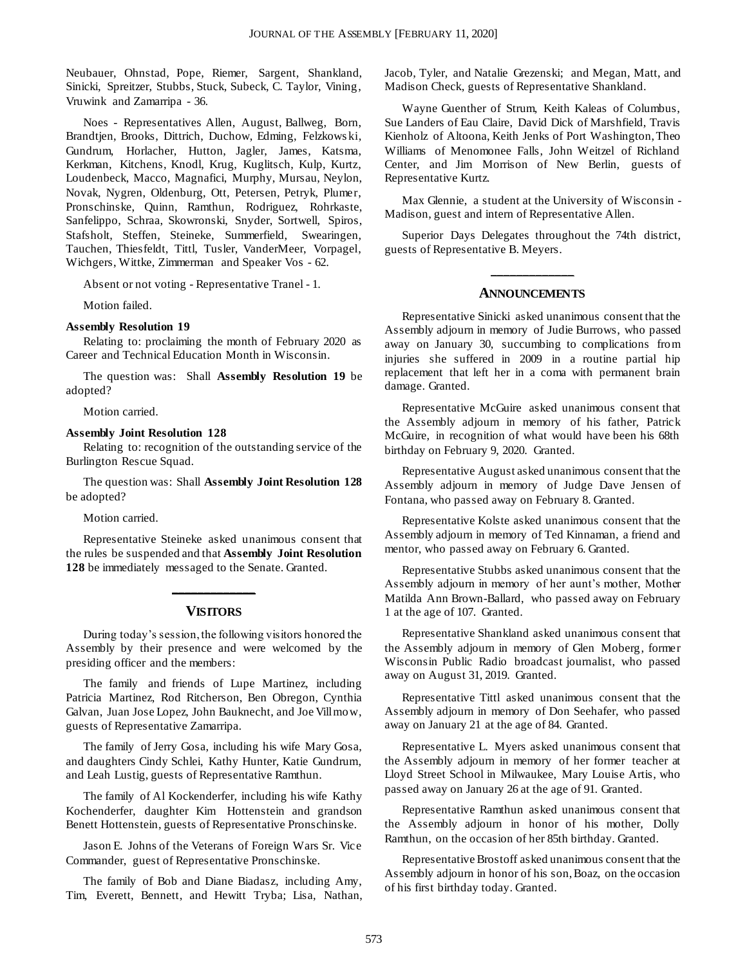Neubauer, Ohnstad, Pope, Riemer, Sargent, Shankland, Sinicki, Spreitzer, Stubbs, Stuck, Subeck, C. Taylor, Vining, Vruwink and Zamarripa - 36.

Noes - Representatives Allen, August, Ballweg, Born, Brandtjen, Brooks, Dittrich, Duchow, Edming, Felzkows ki, Gundrum, Horlacher, Hutton, Jagler, James, Katsma, Kerkman, Kitchens, Knodl, Krug, Kuglitsch, Kulp, Kurtz, Loudenbeck, Macco, Magnafici, Murphy, Mursau, Neylon, Novak, Nygren, Oldenburg, Ott, Petersen, Petryk, Plumer, Pronschinske, Quinn, Ramthun, Rodriguez, Rohrkaste, Sanfelippo, Schraa, Skowronski, Snyder, Sortwell, Spiros, Stafsholt, Steffen, Steineke, Summerfield, Swearingen, Tauchen, Thiesfeldt, Tittl, Tusler, VanderMeer, Vorpagel, Wichgers, Wittke, Zimmerman and Speaker Vos - 62.

Absent or not voting - Representative Tranel - 1.

Motion failed.

#### **Assembly Resolution 19**

Relating to: proclaiming the month of February 2020 as Career and Technical Education Month in Wisconsin.

The question was: Shall **Assembly Resolution 19** be adopted?

Motion carried.

#### **Assembly Joint Resolution 128**

Relating to: recognition of the outstanding service of the Burlington Rescue Squad.

The question was: Shall **Assembly Joint Resolution 128** be adopted?

Motion carried.

Representative Steineke asked unanimous consent that the rules be suspended and that **Assembly Joint Resolution 128** be immediately messaged to the Senate. Granted.

## **\_\_\_\_\_\_\_\_\_\_\_\_\_ VISITORS**

During today's session, the following visitors honored the Assembly by their presence and were welcomed by the presiding officer and the members:

The family and friends of Lupe Martinez, including Patricia Martinez, Rod Ritcherson, Ben Obregon, Cynthia Galvan, Juan Jose Lopez, John Bauknecht, and Joe Villmow, guests of Representative Zamarripa.

The family of Jerry Gosa, including his wife Mary Gosa, and daughters Cindy Schlei, Kathy Hunter, Katie Gundrum, and Leah Lustig, guests of Representative Ramthun.

The family of Al Kockenderfer, including his wife Kathy Kochenderfer, daughter Kim Hottenstein and grandson Benett Hottenstein, guests of Representative Pronschinske.

Jason E. Johns of the Veterans of Foreign Wars Sr. Vice Commander, guest of Representative Pronschinske.

The family of Bob and Diane Biadasz, including Amy, Tim, Everett, Bennett, and Hewitt Tryba; Lisa, Nathan, Jacob, Tyler, and Natalie Grezenski; and Megan, Matt, and Madison Check, guests of Representative Shankland.

Wayne Guenther of Strum, Keith Kaleas of Columbus, Sue Landers of Eau Claire, David Dick of Marshfield, Travis Kienholz of Altoona, Keith Jenks of Port Washington, Theo Williams of Menomonee Falls, John Weitzel of Richland Center, and Jim Morrison of New Berlin, guests of Representative Kurtz.

Max Glennie, a student at the University of Wisconsin - Madison, guest and intern of Representative Allen.

Superior Days Delegates throughout the 74th district, guests of Representative B. Meyers.

## **\_\_\_\_\_\_\_\_\_\_\_\_\_ ANNOUNCEMENTS**

Representative Sinicki asked unanimous consent that the Assembly adjourn in memory of Judie Burrows, who passed away on January 30, succumbing to complications from injuries she suffered in 2009 in a routine partial hip replacement that left her in a coma with permanent brain damage. Granted.

Representative McGuire asked unanimous consent that the Assembly adjourn in memory of his father, Patrick McGuire, in recognition of what would have been his 68th birthday on February 9, 2020. Granted.

Representative August asked unanimous consent that the Assembly adjourn in memory of Judge Dave Jensen of Fontana, who passed away on February 8. Granted.

Representative Kolste asked unanimous consent that the Assembly adjourn in memory of Ted Kinnaman, a friend and mentor, who passed away on February 6. Granted.

Representative Stubbs asked unanimous consent that the Assembly adjourn in memory of her aunt's mother, Mother Matilda Ann Brown-Ballard, who passed away on February 1 at the age of 107. Granted.

Representative Shankland asked unanimous consent that the Assembly adjourn in memory of Glen Moberg, former Wisconsin Public Radio broadcast journalist, who passed away on August 31, 2019. Granted.

Representative Tittl asked unanimous consent that the Assembly adjourn in memory of Don Seehafer, who passed away on January 21 at the age of 84. Granted.

Representative L. Myers asked unanimous consent that the Assembly adjourn in memory of her former teacher at Lloyd Street School in Milwaukee, Mary Louise Artis, who passed away on January 26 at the age of 91. Granted.

Representative Ramthun asked unanimous consent that the Assembly adjourn in honor of his mother, Dolly Ramthun, on the occasion of her 85th birthday. Granted.

Representative Brostoff asked unanimous consent that the Assembly adjourn in honor of his son, Boaz, on the occasion of his first birthday today. Granted.